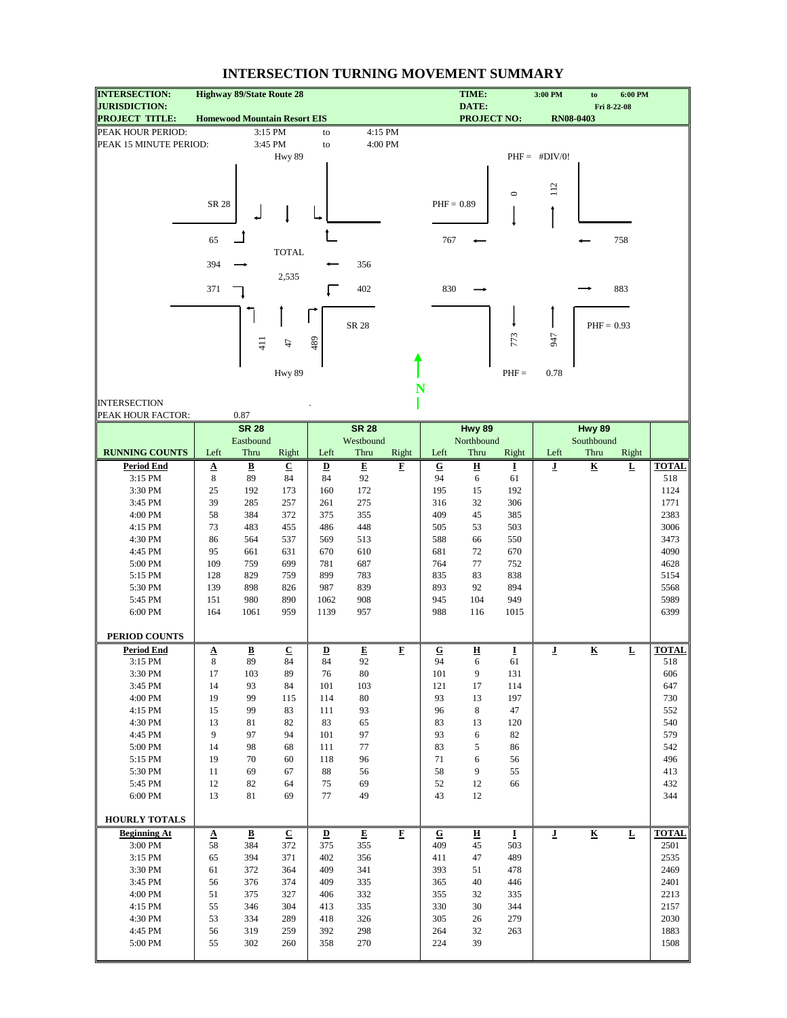| <b>INTERSECTION:</b>                          |                          | <b>Highway 89/State Route 28</b>    |                           |                         |                         |             |              | TIME:                       |            | 3:00 PM                 | to                       | 6:00 PM     |              |
|-----------------------------------------------|--------------------------|-------------------------------------|---------------------------|-------------------------|-------------------------|-------------|--------------|-----------------------------|------------|-------------------------|--------------------------|-------------|--------------|
| <b>JURISDICTION:</b><br><b>PROJECT TITLE:</b> |                          | <b>Homewood Mountain Resort EIS</b> |                           |                         |                         |             |              | DATE:<br><b>PROJECT NO:</b> |            |                         | <b>RN08-0403</b>         | Fri 8-22-08 |              |
| PEAK HOUR PERIOD:                             |                          |                                     | 3:15 PM                   | to                      | 4:15 PM                 |             |              |                             |            |                         |                          |             |              |
| PEAK 15 MINUTE PERIOD:                        |                          |                                     | 3:45 PM                   | to                      | 4:00 PM                 |             |              |                             |            |                         |                          |             |              |
|                                               |                          |                                     | Hwy 89                    |                         |                         |             |              |                             |            | $PHF = #DIV/0!$         |                          |             |              |
|                                               |                          |                                     |                           |                         |                         |             |              |                             |            |                         |                          |             |              |
|                                               |                          |                                     |                           |                         |                         |             |              |                             | $\circ$    | 112                     |                          |             |              |
|                                               | SR 28                    |                                     |                           |                         |                         |             | $PHF = 0.89$ |                             |            |                         |                          |             |              |
|                                               |                          |                                     |                           |                         |                         |             |              |                             |            |                         |                          |             |              |
|                                               |                          |                                     |                           |                         |                         |             |              |                             |            |                         |                          |             |              |
|                                               | 65                       |                                     | <b>TOTAL</b>              |                         |                         |             | 767          |                             |            |                         |                          | 758         |              |
|                                               | 394                      |                                     |                           |                         | 356                     |             |              |                             |            |                         |                          |             |              |
|                                               |                          |                                     | 2,535                     |                         |                         |             |              |                             |            |                         |                          |             |              |
|                                               | 371                      |                                     |                           |                         | 402                     |             | 830          |                             |            |                         |                          | 883         |              |
|                                               |                          |                                     |                           |                         |                         |             |              |                             |            |                         |                          |             |              |
|                                               |                          |                                     |                           |                         | SR 28                   |             |              |                             |            |                         | $PHF = 0.93$             |             |              |
|                                               |                          |                                     |                           |                         |                         |             |              |                             | 773        | 947                     |                          |             |              |
|                                               |                          | $\frac{11}{4}$                      | $\ddot{t}$                | 489                     |                         |             |              |                             |            |                         |                          |             |              |
|                                               |                          |                                     |                           |                         |                         |             |              |                             |            |                         |                          |             |              |
|                                               |                          |                                     | Hwy 89                    |                         |                         |             |              |                             | $PHF =$    | 0.78                    |                          |             |              |
|                                               |                          |                                     |                           |                         |                         | N           |              |                             |            |                         |                          |             |              |
| <b>INTERSECTION</b><br>PEAK HOUR FACTOR:      |                          | 0.87                                |                           |                         |                         |             |              |                             |            |                         |                          |             |              |
|                                               |                          | <b>SR 28</b>                        |                           |                         | <b>SR 28</b>            |             |              | Hwy 89                      |            |                         | <b>Hwy 89</b>            |             |              |
|                                               |                          | Eastbound                           |                           |                         | Westbound               |             |              | Northbound                  |            |                         | Southbound               |             |              |
| <b>RUNNING COUNTS</b>                         | Left                     | Thru                                | Right                     | Left                    | Thru                    | Right       | Left         | Thru                        | Right      | Left                    | Thru                     | Right       |              |
| <b>Period End</b>                             | $\underline{\mathbf{A}}$ | $\overline{\mathbf{B}}$             | $\underline{\mathbf{C}}$  | $\overline{\mathbf{D}}$ | $\overline{\mathbf{E}}$ | F           | ${\bf G}$    | $\underline{\mathbf{H}}$    | Ī          | ī                       | $\underline{\mathbf{K}}$ | Ŀ           | <b>TOTAL</b> |
| 3:15 PM                                       | $\,$ 8 $\,$              | 89                                  | 84                        | 84                      | 92                      |             | 94           | 6                           | 61         |                         |                          |             | 518          |
| 3:30 PM<br>3:45 PM                            | 25<br>39                 | 192<br>285                          | 173<br>257                | 160<br>261              | 172<br>275              |             | 195<br>316   | 15<br>32                    | 192<br>306 |                         |                          |             | 1124<br>1771 |
| 4:00 PM                                       | 58                       | 384                                 | 372                       | 375                     | 355                     |             | 409          | 45                          | 385        |                         |                          |             | 2383         |
| 4:15 PM                                       | 73                       | 483                                 | 455                       | 486                     | 448                     |             | 505          | 53                          | 503        |                         |                          |             | 3006         |
| 4:30 PM                                       | 86                       | 564                                 | 537                       | 569                     | 513                     |             | 588          | 66                          | 550        |                         |                          |             | 3473         |
| 4:45 PM                                       | 95                       | 661                                 | 631                       | 670                     | 610                     |             | 681          | 72                          | 670        |                         |                          |             | 4090         |
| 5:00 PM                                       | 109                      | 759                                 | 699                       | 781                     | 687                     |             | 764          | 77                          | 752        |                         |                          |             | 4628         |
| 5:15 PM                                       | 128                      | 829                                 | 759                       | 899                     | 783                     |             | 835          | 83                          | 838        |                         |                          |             | 5154         |
| 5:30 PM<br>5:45 PM                            | 139<br>151               | 898<br>980                          | 826<br>890                | 987                     | 839<br>908              |             | 893<br>945   | 92<br>104                   | 894<br>949 |                         |                          |             | 5568<br>5989 |
| 6:00 PM                                       | 164                      | 1061                                | 959                       | 1062<br>1139            | 957                     |             | 988          | 116                         | 1015       |                         |                          |             | 6399         |
|                                               |                          |                                     |                           |                         |                         |             |              |                             |            |                         |                          |             |              |
| <b>PERIOD COUNTS</b>                          |                          |                                     |                           |                         |                         |             |              |                             |            |                         |                          |             |              |
| <b>Period End</b>                             | Δ                        | $\pmb{B}$                           | $\ensuremath{\mathbf{C}}$ | $\overline{\mathbf{D}}$ | E                       | $\bf{F}$    | ${\bf G}$    | 旦                           | I          | $\overline{\mathbf{J}}$ | $\underline{\mathbf{K}}$ | L           | <b>TOTAL</b> |
| 3:15 PM                                       | 8                        | 89                                  | 84                        | 84                      | 92                      |             | 94           | 6                           | 61         |                         |                          |             | 518          |
| 3:30 PM<br>3:45 PM                            | 17<br>14                 | 103<br>93                           | 89<br>84                  | 76<br>101               | 80<br>103               |             | 101<br>121   | 9<br>17                     | 131<br>114 |                         |                          |             | 606<br>647   |
| 4:00 PM                                       | 19                       | 99                                  | 115                       | 114                     | $80\,$                  |             | 93           | 13                          | 197        |                         |                          |             | 730          |
| 4:15 PM                                       | 15                       | 99                                  | 83                        | 111                     | 93                      |             | 96           | $\bf 8$                     | 47         |                         |                          |             | 552          |
| 4:30 PM                                       | 13                       | 81                                  | 82                        | 83                      | 65                      |             | 83           | 13                          | 120        |                         |                          |             | 540          |
| 4:45 PM                                       | 9                        | 97                                  | 94                        | 101                     | 97                      |             | 93           | 6                           | 82         |                         |                          |             | 579          |
| 5:00 PM                                       | 14                       | 98                                  | 68                        | 111                     | 77                      |             | 83           | 5                           | 86         |                         |                          |             | 542          |
| 5:15 PM                                       | 19                       | 70                                  | 60                        | 118                     | 96                      |             | 71           | 6                           | 56         |                         |                          |             | 496          |
| 5:30 PM<br>5:45 PM                            | 11<br>12                 | 69<br>82                            | 67<br>64                  | 88<br>75                | 56<br>69                |             | 58<br>52     | 9<br>12                     | 55<br>66   |                         |                          |             | 413<br>432   |
| 6:00 PM                                       | 13                       | 81                                  | 69                        | 77                      | 49                      |             | 43           | 12                          |            |                         |                          |             | 344          |
|                                               |                          |                                     |                           |                         |                         |             |              |                             |            |                         |                          |             |              |
| HOURLY TOTALS                                 |                          |                                     |                           |                         |                         |             |              |                             |            |                         |                          |             |              |
| <b>Beginning At</b>                           | $\Delta$                 | $\overline{\mathbf{B}}$             | $\underline{\mathbf{C}}$  | $\overline{\mathbf{D}}$ | $\mathbf{E}$            | $\mathbf F$ | ${\bf G}$    | 프                           | I          | $\bf J$                 | $\overline{\mathbf{K}}$  | $\mathbf L$ | <b>TOTAL</b> |
| 3:00 PM                                       | 58                       | 384                                 | 372                       | 375                     | 355                     |             | 409          | 45                          | 503        |                         |                          |             | 2501         |
| 3:15 PM<br>3:30 PM                            | 65<br>61                 | 394<br>372                          | 371<br>364                | 402<br>409              | 356<br>341              |             | 411<br>393   | 47<br>51                    | 489<br>478 |                         |                          |             | 2535<br>2469 |
| 3:45 PM                                       | 56                       | 376                                 | 374                       | 409                     | 335                     |             | 365          | 40                          | 446        |                         |                          |             | 2401         |
| 4:00 PM                                       | 51                       | 375                                 | 327                       | 406                     | 332                     |             | 355          | 32                          | 335        |                         |                          |             | 2213         |
| 4:15 PM                                       | 55                       | 346                                 | 304                       | 413                     | 335                     |             | 330          | 30                          | 344        |                         |                          |             | 2157         |
| 4:30 PM                                       | 53                       | 334                                 | 289                       | 418                     | 326                     |             | 305          | 26                          | 279        |                         |                          |             | 2030         |
| 4:45 PM                                       | 56                       | 319                                 | 259                       | 392                     | 298                     |             | 264          | 32                          | 263        |                         |                          |             | 1883         |
| 5:00 PM                                       | 55                       | 302                                 | 260                       | 358                     | 270                     |             | 224          | 39                          |            |                         |                          |             | 1508         |
|                                               |                          |                                     |                           |                         |                         |             |              |                             |            |                         |                          |             |              |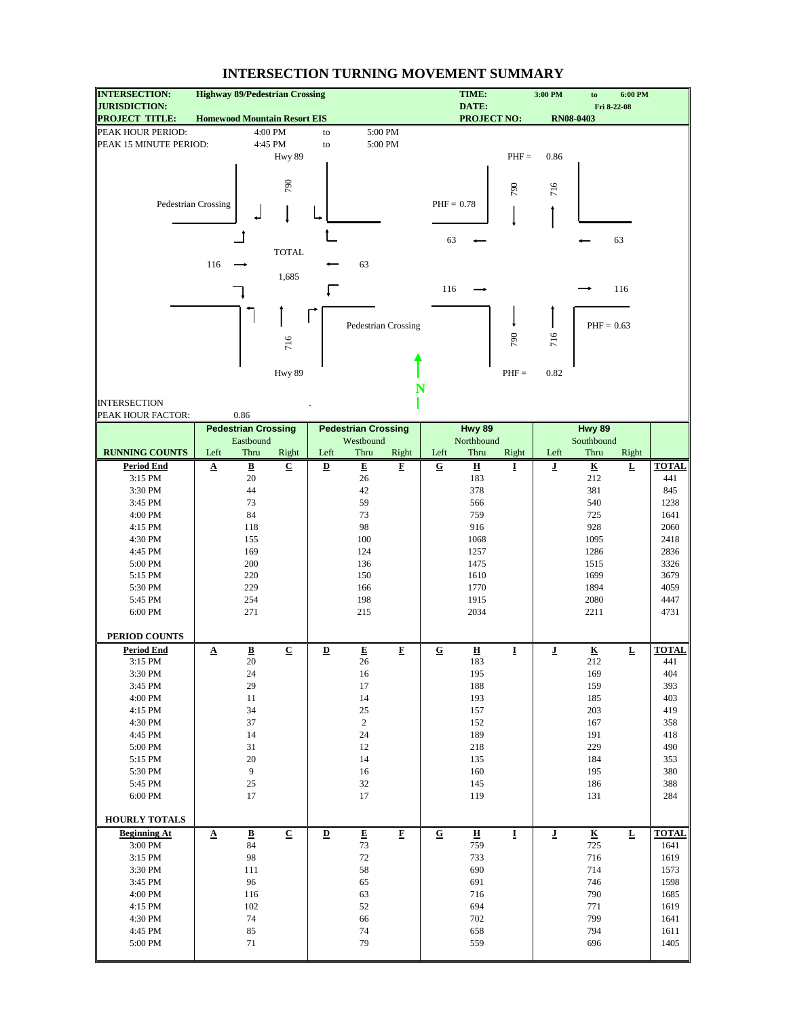| <b>INTERSECTION:</b>                          | <b>Highway 89/Pedestrian Crossing</b> |                                |                          |                         |                            |                         |                         | TIME:                          |                         | 3:00 PM                 | to                             | 6:00 PM                 |              |
|-----------------------------------------------|---------------------------------------|--------------------------------|--------------------------|-------------------------|----------------------------|-------------------------|-------------------------|--------------------------------|-------------------------|-------------------------|--------------------------------|-------------------------|--------------|
| <b>JURISDICTION:</b><br><b>PROJECT TITLE:</b> | <b>Homewood Mountain Resort EIS</b>   |                                |                          |                         |                            |                         |                         | DATE:<br><b>PROJECT NO:</b>    |                         |                         | <b>RN08-0403</b>               | Fri 8-22-08             |              |
| PEAK HOUR PERIOD:                             |                                       |                                | 4:00 PM                  | to                      | 5:00 PM                    |                         |                         |                                |                         |                         |                                |                         |              |
| PEAK 15 MINUTE PERIOD:                        |                                       |                                | 4:45 PM                  | to                      |                            | 5:00 PM                 |                         |                                |                         |                         |                                |                         |              |
|                                               |                                       |                                | Hwy 89                   |                         |                            |                         |                         |                                | $PHF =$                 | 0.86                    |                                |                         |              |
|                                               |                                       |                                |                          |                         |                            |                         |                         |                                |                         |                         |                                |                         |              |
|                                               |                                       |                                |                          |                         |                            |                         |                         |                                |                         |                         |                                |                         |              |
|                                               |                                       |                                | 790                      |                         |                            |                         |                         |                                | 790                     | 716                     |                                |                         |              |
|                                               | Pedestrian Crossing                   |                                |                          |                         |                            |                         | $PHF = 0.78$            |                                |                         |                         |                                |                         |              |
|                                               |                                       |                                |                          |                         |                            |                         |                         |                                |                         |                         |                                |                         |              |
|                                               |                                       |                                |                          |                         |                            |                         |                         |                                |                         |                         |                                |                         |              |
|                                               |                                       |                                |                          |                         |                            |                         | 63                      |                                |                         |                         |                                | 63                      |              |
|                                               |                                       |                                | <b>TOTAL</b>             |                         |                            |                         |                         |                                |                         |                         |                                |                         |              |
|                                               | 116                                   |                                |                          |                         | 63                         |                         |                         |                                |                         |                         |                                |                         |              |
|                                               |                                       |                                | 1,685                    |                         |                            |                         |                         |                                |                         |                         |                                |                         |              |
|                                               |                                       |                                |                          |                         |                            |                         | 116                     |                                |                         |                         |                                | 116                     |              |
|                                               |                                       |                                |                          |                         |                            |                         |                         |                                |                         |                         |                                |                         |              |
|                                               |                                       |                                |                          |                         | Pedestrian Crossing        |                         |                         |                                |                         |                         | $PHF = 0.63$                   |                         |              |
|                                               |                                       |                                |                          |                         |                            |                         |                         |                                | 790                     |                         |                                |                         |              |
|                                               |                                       |                                | 716                      |                         |                            |                         |                         |                                |                         | 716                     |                                |                         |              |
|                                               |                                       |                                |                          |                         |                            |                         |                         |                                |                         |                         |                                |                         |              |
|                                               |                                       |                                | Hwy 89                   |                         |                            |                         |                         |                                | $PHF =$                 | 0.82                    |                                |                         |              |
|                                               |                                       |                                |                          |                         |                            | N                       |                         |                                |                         |                         |                                |                         |              |
| <b>INTERSECTION</b>                           |                                       |                                |                          |                         |                            |                         |                         |                                |                         |                         |                                |                         |              |
| PEAK HOUR FACTOR:                             |                                       | 0.86                           |                          |                         |                            |                         |                         |                                |                         |                         |                                |                         |              |
|                                               |                                       | <b>Pedestrian Crossing</b>     |                          |                         | <b>Pedestrian Crossing</b> |                         |                         | Hwy 89                         |                         |                         | Hwy 89                         |                         |              |
|                                               |                                       | Eastbound                      |                          |                         | Westbound                  |                         |                         | Northbound                     |                         |                         | Southbound                     |                         |              |
| <b>RUNNING COUNTS</b>                         | Left                                  | Thru                           | Right                    | Left                    | Thru                       | Right                   | Left                    | Thru                           | Right                   | Left                    | Thru                           | Right                   |              |
| <b>Period End</b>                             | $\Delta$                              | $\overline{\mathbf{B}}$        | $\overline{c}$           | $\overline{\mathbf{D}}$ | $\overline{E}$             | $\mathbf F$             | $\overline{\mathbf{G}}$ | $\overline{\mathbf{H}}$        | I                       | ī                       | $\underline{\mathbf{K}}$       | $\overline{\mathbf{r}}$ | <b>TOTAL</b> |
| 3:15 PM                                       |                                       | 20                             |                          |                         | 26                         |                         |                         | 183                            |                         |                         | 212                            |                         | 441          |
| 3:30 PM                                       |                                       | 44                             |                          |                         | 42                         |                         |                         | 378                            |                         |                         | 381                            |                         | 845          |
| 3:45 PM                                       |                                       | 73                             |                          |                         | 59                         |                         |                         | 566                            |                         |                         | 540                            |                         | 1238         |
| 4:00 PM                                       |                                       | 84                             |                          |                         | 73                         |                         |                         | 759                            |                         |                         | 725                            |                         | 1641         |
| 4:15 PM                                       |                                       | 118                            |                          |                         | 98                         |                         |                         | 916                            |                         |                         | 928                            |                         | 2060         |
| 4:30 PM                                       |                                       | 155                            |                          |                         | 100                        |                         |                         | 1068                           |                         |                         | 1095                           |                         | 2418         |
| 4:45 PM                                       |                                       | 169                            |                          |                         | 124                        |                         |                         | 1257                           |                         |                         | 1286                           |                         | 2836         |
| 5:00 PM                                       |                                       | 200                            |                          |                         | 136                        |                         |                         | 1475                           |                         |                         | 1515                           |                         | 3326         |
| 5:15 PM                                       |                                       | 220                            |                          |                         | 150                        |                         |                         | 1610                           |                         |                         | 1699                           |                         | 3679         |
| 5:30 PM                                       |                                       | 229                            |                          |                         | 166                        |                         |                         | 1770                           |                         |                         | 1894                           |                         | 4059         |
| 5:45 PM                                       |                                       | 254                            |                          |                         | 198                        |                         |                         | 1915                           |                         |                         | 2080                           |                         | 4447         |
| 6:00 PM                                       |                                       | 271                            |                          |                         | 215                        |                         |                         | 2034                           |                         |                         | 2211                           |                         | 4731         |
| PERIOD COUNTS                                 |                                       |                                |                          |                         |                            |                         |                         |                                |                         |                         |                                |                         |              |
| <b>Period End</b>                             |                                       |                                | $\underline{\mathbf{C}}$ | $\overline{\mathbf{D}}$ |                            | F                       | ${\bf G}$               |                                |                         |                         |                                |                         | <b>TOTAL</b> |
| 3:15 PM                                       | $\Delta$                              | $\underline{\mathbf{B}}$<br>20 |                          |                         | E<br>26                    |                         |                         | $\overline{\mathbf{H}}$<br>183 | I                       | ī                       | $\overline{\textbf{K}}$<br>212 | L                       | 441          |
| 3:30 PM                                       |                                       | 24                             |                          |                         | 16                         |                         |                         | 195                            |                         |                         | 169                            |                         | 404          |
| 3:45 PM                                       |                                       | 29                             |                          |                         | 17                         |                         |                         | 188                            |                         |                         | 159                            |                         | 393          |
| 4:00 PM                                       |                                       | 11                             |                          |                         | 14                         |                         |                         | 193                            |                         |                         | 185                            |                         | 403          |
| 4:15 PM                                       |                                       | 34                             |                          |                         | 25                         |                         |                         | 157                            |                         |                         | 203                            |                         | 419          |
| 4:30 PM                                       |                                       | 37                             |                          |                         | $\boldsymbol{2}$           |                         |                         | 152                            |                         |                         | 167                            |                         | 358          |
| 4:45 PM                                       |                                       | 14                             |                          |                         | 24                         |                         |                         | 189                            |                         |                         | 191                            |                         | 418          |
| 5:00 PM                                       |                                       | 31                             |                          |                         | 12                         |                         |                         | 218                            |                         |                         | 229                            |                         | 490          |
| 5:15 PM                                       |                                       | $20\,$                         |                          |                         | 14                         |                         |                         | 135                            |                         |                         | 184                            |                         | 353          |
| 5:30 PM                                       |                                       | 9                              |                          |                         | 16                         |                         |                         | 160                            |                         |                         | 195                            |                         | 380          |
| 5:45 PM                                       |                                       | $25\,$                         |                          |                         | 32                         |                         |                         | 145                            |                         |                         | 186                            |                         | 388          |
| 6:00 PM                                       |                                       | 17                             |                          |                         | 17                         |                         |                         | 119                            |                         |                         | 131                            |                         | 284          |
|                                               |                                       |                                |                          |                         |                            |                         |                         |                                |                         |                         |                                |                         |              |
| HOURLY TOTALS                                 |                                       |                                |                          |                         |                            |                         |                         |                                |                         |                         |                                |                         |              |
| <b>Beginning At</b>                           | $\boldsymbol{\mathsf{A}}$             | $\overline{\mathbf{B}}$        | $\overline{\mathbf{C}}$  | $\overline{\mathbf{D}}$ | $\overline{\textbf{E}}$    | $\overline{\mathbf{F}}$ | $\overline{\mathbf{G}}$ | $\overline{\mathbf{H}}$        | $\overline{\mathbf{I}}$ | $\overline{\mathbf{J}}$ | $\overline{\mathbf{K}}$        | $\overline{\mathbf{r}}$ | <b>TOTAL</b> |
| 3:00 PM                                       |                                       | 84                             |                          |                         | 73                         |                         |                         | 759                            |                         |                         | 725                            |                         | 1641         |
| 3:15 PM                                       |                                       | 98                             |                          |                         | 72                         |                         |                         | 733                            |                         |                         | 716                            |                         | 1619         |
| 3:30 PM                                       |                                       | 111                            |                          |                         | 58                         |                         |                         | 690                            |                         |                         | 714                            |                         | 1573         |
| 3:45 PM<br>4:00 PM                            |                                       | 96<br>116                      |                          |                         | 65<br>63                   |                         |                         | 691<br>716                     |                         |                         | 746<br>790                     |                         | 1598<br>1685 |
| 4:15 PM                                       |                                       | 102                            |                          |                         | 52                         |                         |                         | 694                            |                         |                         | 771                            |                         | 1619         |
| 4:30 PM                                       |                                       | 74                             |                          |                         | 66                         |                         |                         | 702                            |                         |                         | 799                            |                         | 1641         |
| 4:45 PM                                       |                                       | 85                             |                          |                         | 74                         |                         |                         | 658                            |                         |                         | 794                            |                         | 1611         |
| 5:00 PM                                       |                                       | 71                             |                          |                         | 79                         |                         |                         | 559                            |                         |                         | 696                            |                         | 1405         |
|                                               |                                       |                                |                          |                         |                            |                         |                         |                                |                         |                         |                                |                         |              |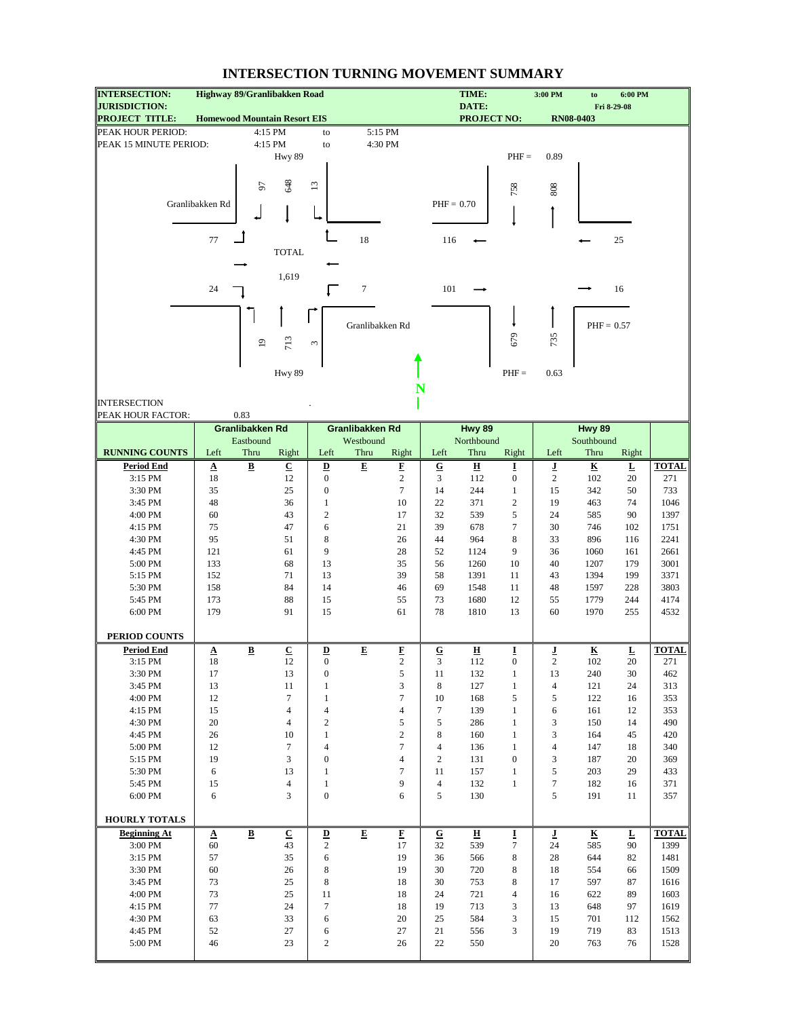| <b>INTERSECTION:</b>                          | Highway 89/Granlibakken Road        |                         |                          |                                          |                         |                         |                         | TIME:                          |                     | 3:00 PM  | to                             | 6:00 PM                 |                     |
|-----------------------------------------------|-------------------------------------|-------------------------|--------------------------|------------------------------------------|-------------------------|-------------------------|-------------------------|--------------------------------|---------------------|----------|--------------------------------|-------------------------|---------------------|
| <b>JURISDICTION:</b><br><b>PROJECT TITLE:</b> |                                     |                         |                          |                                          |                         |                         |                         | DATE:<br><b>PROJECT NO:</b>    |                     |          | <b>RN08-0403</b>               | Fri 8-29-08             |                     |
| PEAK HOUR PERIOD:                             | <b>Homewood Mountain Resort EIS</b> |                         |                          |                                          | 5:15 PM                 |                         |                         |                                |                     |          |                                |                         |                     |
|                                               |                                     | 4:15 PM                 |                          | to                                       |                         |                         |                         |                                |                     |          |                                |                         |                     |
| PEAK 15 MINUTE PERIOD:                        |                                     | 4:15 PM                 | <b>Hwy 89</b>            | to                                       | 4:30 PM                 |                         |                         |                                | $PHF =$             | 0.89     |                                |                         |                     |
|                                               |                                     |                         |                          |                                          |                         |                         |                         |                                |                     |          |                                |                         |                     |
|                                               |                                     |                         |                          |                                          |                         |                         |                         |                                |                     |          |                                |                         |                     |
|                                               |                                     | 57                      | 648                      | $\Xi$                                    |                         |                         |                         |                                | 758                 | 808      |                                |                         |                     |
|                                               | Granlibakken Rd                     |                         |                          |                                          |                         |                         | $PHF = 0.70$            |                                |                     |          |                                |                         |                     |
|                                               |                                     |                         |                          |                                          |                         |                         |                         |                                |                     |          |                                |                         |                     |
|                                               |                                     |                         |                          |                                          |                         |                         |                         |                                |                     |          |                                |                         |                     |
|                                               | 77                                  |                         |                          |                                          | 18                      |                         | 116                     |                                |                     |          |                                | $25\,$                  |                     |
|                                               |                                     |                         | <b>TOTAL</b>             |                                          |                         |                         |                         |                                |                     |          |                                |                         |                     |
|                                               |                                     |                         |                          |                                          |                         |                         |                         |                                |                     |          |                                |                         |                     |
|                                               |                                     |                         | 1,619                    |                                          |                         |                         |                         |                                |                     |          |                                |                         |                     |
|                                               | 24                                  |                         |                          |                                          | $\tau$                  |                         | 101                     |                                |                     |          |                                | 16                      |                     |
|                                               |                                     |                         |                          |                                          |                         |                         |                         |                                |                     |          |                                |                         |                     |
|                                               |                                     |                         |                          |                                          |                         |                         |                         |                                |                     |          |                                |                         |                     |
|                                               |                                     |                         |                          |                                          | Granlibakken Rd         |                         |                         |                                |                     |          | $PHF = 0.57$                   |                         |                     |
|                                               |                                     | $\overline{9}$          | 713                      | 3                                        |                         |                         |                         |                                | 679                 | 735      |                                |                         |                     |
|                                               |                                     |                         |                          |                                          |                         |                         |                         |                                |                     |          |                                |                         |                     |
|                                               |                                     |                         | Hwy 89                   |                                          |                         |                         |                         |                                | $PHF =$             | 0.63     |                                |                         |                     |
|                                               |                                     |                         |                          |                                          |                         | N                       |                         |                                |                     |          |                                |                         |                     |
| <b>INTERSECTION</b>                           |                                     |                         |                          |                                          |                         |                         |                         |                                |                     |          |                                |                         |                     |
| PEAK HOUR FACTOR:                             |                                     | 0.83                    |                          |                                          |                         |                         |                         |                                |                     |          |                                |                         |                     |
|                                               |                                     | Granlibakken Rd         |                          |                                          | <b>Granlibakken Rd</b>  |                         |                         | Hwy 89                         |                     |          | Hwy 89                         |                         |                     |
|                                               |                                     | Eastbound               |                          |                                          | Westbound               |                         |                         | Northbound                     |                     |          | Southbound                     |                         |                     |
| <b>RUNNING COUNTS</b>                         | Left                                | Thru                    | Right                    | Left                                     | Thru                    | Right                   | Left                    | Thru                           | Right               | Left     | Thru                           | Right                   |                     |
| <b>Period End</b>                             | $\underline{\mathbf{A}}$            | $\overline{\mathbf{B}}$ | $\underline{\mathbf{C}}$ | $\underline{\mathbf{D}}$                 | $\overline{E}$          | $\overline{\mathbf{F}}$ | $\overline{\mathbf{G}}$ | $\overline{\mathbf{H}}$        | Ī                   | ī        | $\underline{\mathbf{K}}$       | $\overline{\mathbf{r}}$ | <b>TOTAL</b>        |
| 3:15 PM                                       | 18                                  |                         | 12                       | $\boldsymbol{0}$                         |                         | $\sqrt{2}$              | 3                       | 112                            | $\boldsymbol{0}$    | 2        | 102                            | 20                      | 271                 |
| 3:30 PM                                       | 35                                  |                         | 25                       | $\boldsymbol{0}$                         |                         | $\tau$                  | 14                      | 244                            | $\mathbf{1}$        | 15       | 342                            | 50                      | 733                 |
| 3:45 PM                                       | 48                                  |                         | 36                       | $\mathbf{1}$                             |                         | 10                      | 22                      | 371                            | $\overline{c}$      | 19       | 463                            | 74                      | 1046                |
| 4:00 PM                                       | 60                                  |                         | 43                       | $\mathfrak{2}$                           |                         | 17                      | 32                      | 539                            | 5                   | 24       | 585                            | 90                      | 1397                |
| 4:15 PM                                       | 75                                  |                         | 47                       | 6                                        |                         | 21                      | 39                      | 678                            | $\tau$              | 30       | 746                            | 102                     | 1751                |
| 4:30 PM                                       | 95                                  |                         | 51                       | 8                                        |                         | 26                      | 44                      | 964                            | 8                   | 33       | 896                            | 116                     | 2241                |
| 4:45 PM                                       | 121                                 |                         | 61                       | 9                                        |                         | 28                      | 52                      | 1124                           | 9                   | 36       | 1060                           | 161                     | 2661                |
| 5:00 PM                                       | 133                                 |                         | 68                       | 13                                       |                         | 35                      | 56                      | 1260                           | 10                  | 40       | 1207                           | 179                     | 3001                |
| 5:15 PM                                       | 152                                 |                         | 71                       | 13                                       |                         | 39                      | 58                      | 1391                           | 11                  | 43       | 1394                           | 199                     | 3371                |
| 5:30 PM                                       | 158                                 |                         | 84                       | 14                                       |                         | 46                      | 69                      | 1548                           | 11                  | 48       | 1597                           | 228                     | 3803                |
| 5:45 PM                                       | 173                                 |                         | 88                       | 15                                       |                         | 55                      | 73                      | 1680                           | 12                  | 55       | 1779                           | 244                     | 4174                |
| 6:00 PM                                       | 179                                 |                         | 91                       | 15                                       |                         | 61                      | 78                      | 1810                           | 13                  | 60       | 1970                           | 255                     | 4532                |
|                                               |                                     |                         |                          |                                          |                         |                         |                         |                                |                     |          |                                |                         |                     |
| PERIOD COUNTS                                 |                                     |                         |                          |                                          |                         |                         |                         |                                |                     |          |                                |                         |                     |
| <b>Period End</b><br>3:15 PM                  | $\mathbf A$<br>$18\,$               | $\overline{\mathbf{B}}$ | ${\bf C}$<br>12          | $\underline{\mathbf{D}}$<br>$\mathbf{0}$ | E                       | E<br>$\overline{c}$     | ${\bf G}$<br>3          | $\overline{\mathbf{H}}$<br>112 | I<br>$\mathbf{0}$   | ſ<br>2   | $\overline{\mathbf{R}}$<br>102 | L<br>20                 | <b>TOTAL</b><br>271 |
| 3:30 PM                                       | 17                                  |                         | 13                       | $\boldsymbol{0}$                         |                         | 5                       | 11                      | 132                            | $\mathbf{1}$        | 13       | 240                            | 30                      | 462                 |
| 3:45 PM                                       | 13                                  |                         | 11                       | 1                                        |                         | 3                       | 8                       | 127                            | $\mathbf{1}$        | 4        | 121                            | 24                      | 313                 |
| 4:00 PM                                       | 12                                  |                         | $\tau$                   | $\mathbf{1}$                             |                         | $\tau$                  | 10                      | 168                            | 5                   | 5        | 122                            | 16                      | 353                 |
| 4:15 PM                                       | 15                                  |                         | $\overline{4}$           | 4                                        |                         | $\overline{4}$          | $\tau$                  | 139                            | $\mathbf{1}$        | 6        | 161                            | 12                      | 353                 |
| 4:30 PM                                       | 20                                  |                         | $\overline{4}$           | 2                                        |                         | 5                       | 5                       | 286                            | $\mathbf{1}$        | 3        | 150                            | 14                      | 490                 |
| 4:45 PM                                       | 26                                  |                         | 10                       | $\mathbf{1}$                             |                         | $\sqrt{2}$              | 8                       | 160                            | $\mathbf{1}$        | 3        | 164                            | 45                      | 420                 |
| 5:00 PM                                       | 12                                  |                         | $\tau$                   | 4                                        |                         | $\tau$                  | $\overline{4}$          | 136                            | $\mathbf{1}$        | 4        | 147                            | 18                      | 340                 |
| $5:15$ PM $\,$                                | 19                                  |                         | 3                        | $\boldsymbol{0}$                         |                         | $\overline{4}$          | 2                       | 131                            | $\boldsymbol{0}$    | 3        | 187                            | 20                      | 369                 |
| 5:30 PM                                       | 6                                   |                         | 13                       | $\mathbf{1}$                             |                         | $\tau$                  | 11                      | 157                            | $\mathbf{1}$        | 5        | 203                            | 29                      | 433                 |
| 5:45 PM                                       | 15                                  |                         | $\overline{4}$           | $\mathbf{1}$                             |                         | 9                       | $\overline{4}$          | 132                            | $\mathbf{1}$        | 7        | 182                            | 16                      | 371                 |
| 6:00 PM                                       | 6                                   |                         | 3                        | $\boldsymbol{0}$                         |                         | 6                       | 5                       | 130                            |                     | 5        | 191                            | 11                      | 357                 |
|                                               |                                     |                         |                          |                                          |                         |                         |                         |                                |                     |          |                                |                         |                     |
| <b>HOURLY TOTALS</b>                          |                                     |                         |                          |                                          |                         |                         |                         |                                |                     |          |                                |                         |                     |
| <b>Beginning At</b>                           | $\boldsymbol{\Delta}$               | $\overline{\mathbf{B}}$ | $\overline{c}$           | $\underline{\mathbf{D}}$                 | $\overline{\mathbf{E}}$ | $\overline{\mathbf{F}}$ | $\bf G$                 | $\overline{\mathbf{H}}$        | I                   | Ţ        | $\underline{\mathbf{K}}$       | $\mathbf L$             | <b>TOTAL</b>        |
| 3:00 PM                                       | 60                                  |                         | 43                       | 2                                        |                         | 17                      | 32                      | 539                            | 7                   | 24       | 585                            | 90                      | 1399                |
| 3:15 PM                                       | 57                                  |                         | 35                       | 6                                        |                         | 19                      | 36                      | 566                            | 8                   | 28       | 644                            | 82                      | 1481                |
| 3:30 PM                                       | 60                                  |                         | 26                       | 8                                        |                         | 19                      | 30                      | 720                            | 8                   | 18       | 554                            | 66                      | 1509                |
| 3:45 PM                                       | 73                                  |                         | 25                       | 8                                        |                         | 18                      | 30                      | 753                            | 8                   | 17       | 597                            | 87                      | 1616                |
| 4:00 PM<br>4:15 PM                            | 73<br>77                            |                         | 25<br>24                 | 11<br>7                                  |                         | 18<br>18                | 24<br>19                | 721<br>713                     | $\overline{4}$<br>3 | 16       | 622<br>648                     | 89<br>97                | 1603<br>1619        |
| 4:30 PM                                       | 63                                  |                         | 33                       | 6                                        |                         | 20                      | 25                      | 584                            | 3                   | 13<br>15 | 701                            | 112                     | 1562                |
| 4:45 PM                                       | 52                                  |                         | 27                       | 6                                        |                         | 27                      | 21                      | 556                            | 3                   | 19       | 719                            | 83                      | 1513                |
| 5:00 PM                                       | 46                                  |                         | 23                       | $\boldsymbol{2}$                         |                         | 26                      | 22                      | 550                            |                     | 20       | 763                            | 76                      | 1528                |
|                                               |                                     |                         |                          |                                          |                         |                         |                         |                                |                     |          |                                |                         |                     |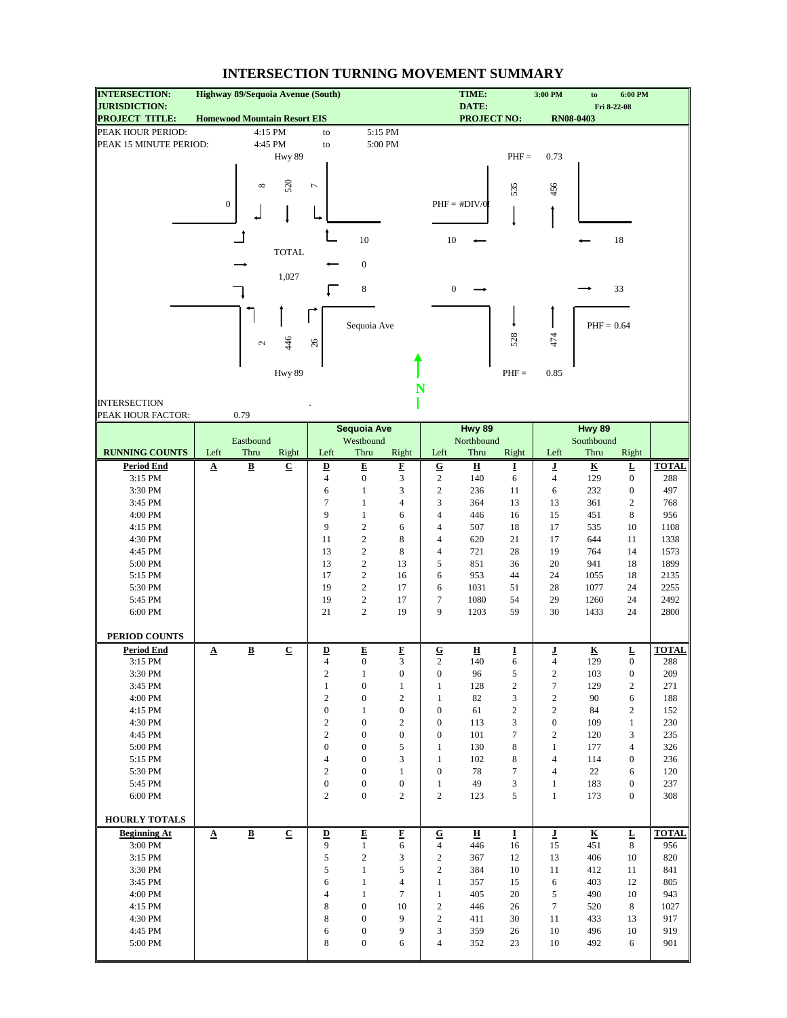| <b>INTERSECTION:</b>                          |                       |                          | Highway 89/Sequoia Avenue (South)   |                                    |                                      |                         |                              | TIME:                       |              | 3:00 PM           | to                          | 6:00 PM                            |              |
|-----------------------------------------------|-----------------------|--------------------------|-------------------------------------|------------------------------------|--------------------------------------|-------------------------|------------------------------|-----------------------------|--------------|-------------------|-----------------------------|------------------------------------|--------------|
| <b>JURISDICTION:</b><br><b>PROJECT TITLE:</b> |                       |                          | <b>Homewood Mountain Resort EIS</b> |                                    |                                      |                         |                              | DATE:<br><b>PROJECT NO:</b> |              |                   | <b>RN08-0403</b>            | Fri 8-22-08                        |              |
| PEAK HOUR PERIOD:                             |                       |                          | 4:15 PM                             | to                                 |                                      | 5:15 PM                 |                              |                             |              |                   |                             |                                    |              |
| PEAK 15 MINUTE PERIOD:                        |                       |                          | 4:45 PM                             | to                                 |                                      | 5:00 PM                 |                              |                             |              |                   |                             |                                    |              |
|                                               |                       |                          | Hwy 89                              |                                    |                                      |                         |                              |                             | $PHF =$      | 0.73              |                             |                                    |              |
|                                               |                       |                          |                                     |                                    |                                      |                         |                              |                             |              |                   |                             |                                    |              |
|                                               |                       |                          |                                     |                                    |                                      |                         |                              |                             |              |                   |                             |                                    |              |
|                                               |                       | ${}^{\circ}$             | 520                                 | $\overline{ }$                     |                                      |                         |                              |                             | 535          | 456               |                             |                                    |              |
|                                               | $\boldsymbol{0}$      |                          |                                     |                                    |                                      |                         |                              | $PHF = #DIV/0$              |              |                   |                             |                                    |              |
|                                               |                       |                          |                                     |                                    |                                      |                         |                              |                             |              |                   |                             |                                    |              |
|                                               |                       |                          |                                     |                                    |                                      |                         |                              |                             |              |                   |                             |                                    |              |
|                                               |                       |                          |                                     |                                    | $10\,$                               |                         | 10                           |                             |              |                   |                             | 18                                 |              |
|                                               |                       |                          | <b>TOTAL</b>                        |                                    |                                      |                         |                              |                             |              |                   |                             |                                    |              |
|                                               |                       |                          |                                     |                                    | $\boldsymbol{0}$                     |                         |                              |                             |              |                   |                             |                                    |              |
|                                               |                       |                          | 1,027                               |                                    |                                      |                         |                              |                             |              |                   |                             |                                    |              |
|                                               |                       |                          |                                     |                                    | $\bf 8$                              |                         | $\mathbf{0}$                 |                             |              |                   |                             | 33                                 |              |
|                                               |                       |                          |                                     |                                    |                                      |                         |                              |                             |              |                   |                             |                                    |              |
|                                               |                       |                          |                                     |                                    |                                      |                         |                              |                             |              |                   |                             |                                    |              |
|                                               |                       |                          |                                     |                                    | Sequoia Ave                          |                         |                              |                             |              |                   | $PHF = 0.64$                |                                    |              |
|                                               |                       | $\mathcal{L}$            | 446                                 | $26$                               |                                      |                         |                              |                             | 528          | 474               |                             |                                    |              |
|                                               |                       |                          |                                     |                                    |                                      |                         |                              |                             |              |                   |                             |                                    |              |
|                                               |                       |                          | Hwy 89                              |                                    |                                      |                         |                              |                             | $PHF =$      | 0.85              |                             |                                    |              |
|                                               |                       |                          |                                     |                                    |                                      |                         | N                            |                             |              |                   |                             |                                    |              |
|                                               |                       |                          |                                     |                                    |                                      |                         |                              |                             |              |                   |                             |                                    |              |
| <b>INTERSECTION</b>                           |                       |                          |                                     |                                    |                                      |                         |                              |                             |              |                   |                             |                                    |              |
| PEAK HOUR FACTOR:                             |                       | 0.79                     |                                     |                                    |                                      |                         |                              |                             |              |                   |                             |                                    |              |
|                                               |                       | Eastbound                |                                     |                                    | <b>Sequoia Ave</b><br>Westbound      |                         |                              | Hwy 89<br>Northbound        |              |                   | <b>Hwy 89</b><br>Southbound |                                    |              |
| <b>RUNNING COUNTS</b>                         | Left                  | Thru                     | Right                               | Left                               | Thru                                 | Right                   | Left                         | Thru                        | Right        | Left              | Thru                        | Right                              |              |
| <b>Period End</b>                             | $\Delta$              | $\underline{\mathbf{B}}$ | $\overline{\mathbf{c}}$             | $\overline{\mathbf{D}}$            | $\overline{\mathbf{E}}$              | Ľ                       | ${\bf G}$                    | $\overline{\mathbf{H}}$     | Ī            | ī                 | $\underline{\mathbf{K}}$    | $\overline{\Gamma}$                | <b>TOTAL</b> |
| 3:15 PM                                       |                       |                          |                                     | $\overline{4}$                     | $\boldsymbol{0}$                     | 3                       | $\sqrt{2}$                   | 140                         | 6            | 4                 | 129                         | $\boldsymbol{0}$                   | 288          |
| 3:30 PM                                       |                       |                          |                                     | 6                                  | $\mathbf{1}$                         | 3                       | $\overline{c}$               | 236                         | 11           | 6                 | 232                         | $\boldsymbol{0}$                   | 497          |
| 3:45 PM                                       |                       |                          |                                     | $\tau$                             | $\mathbf{1}$                         | $\overline{4}$          | 3                            | 364                         | 13           | 13                | 361                         | $\mathfrak{2}$                     | 768          |
| 4:00 PM                                       |                       |                          |                                     | 9                                  | $\mathbf{1}$                         | 6                       | 4                            | 446                         | 16           | 15                | 451                         | 8                                  | 956          |
| 4:15 PM                                       |                       |                          |                                     | 9                                  | $\sqrt{2}$                           | 6                       | 4                            | 507                         | 18           | 17                | 535                         | 10                                 | 1108         |
| 4:30 PM                                       |                       |                          |                                     | 11                                 | $\sqrt{2}$                           | 8                       | 4                            | 620                         | 21           | 17                | 644                         | 11                                 | 1338         |
| 4:45 PM                                       |                       |                          |                                     | 13                                 | $\overline{c}$                       | 8                       | 4                            | 721                         | 28           | 19                | 764                         | 14                                 | 1573         |
| 5:00 PM                                       |                       |                          |                                     | 13                                 | $\sqrt{2}$                           | 13                      | 5                            | 851                         | 36           | 20                | 941                         | 18                                 | 1899         |
| 5:15 PM                                       |                       |                          |                                     | 17                                 | $\sqrt{2}$                           | 16                      | 6                            | 953                         | 44           | 24                | 1055                        | 18                                 | 2135         |
| 5:30 PM                                       |                       |                          |                                     | 19                                 | $\overline{c}$                       | 17                      | 6                            | 1031                        | 51           | 28                | 1077                        | 24                                 | 2255         |
| 5:45 PM                                       |                       |                          |                                     | 19                                 | $\sqrt{2}$                           | 17                      | 7                            | 1080                        | 54           | 29                | 1260                        | 24                                 | 2492         |
| 6:00 PM                                       |                       |                          |                                     | 21                                 | $\sqrt{2}$                           | 19                      | 9                            | 1203                        | 59           | 30                | 1433                        | 24                                 | 2800         |
|                                               |                       |                          |                                     |                                    |                                      |                         |                              |                             |              |                   |                             |                                    |              |
| PERIOD COUNTS                                 |                       |                          |                                     |                                    |                                      |                         |                              |                             |              |                   |                             |                                    |              |
| <b>Period End</b>                             | $\Delta$              | $\, {\bf B} \,$          | $\underline{\mathbf{C}}$            | $\overline{\mathbf{D}}$            | $\mathbf E$                          | $\overline{\mathbf{E}}$ | ${\bf G}$                    | $\overline{\mathbf{H}}$     | Ī            | ſ                 | K                           | $\overline{\mathbf{L}}$            | <b>TOTAL</b> |
| 3:15 PM                                       |                       |                          |                                     | $\overline{4}$                     | $\boldsymbol{0}$                     | 3                       | $\overline{c}$               | 140                         | 6            | $\overline{4}$    | 129                         | $\boldsymbol{0}$                   | 288          |
| 3:30 PM                                       |                       |                          |                                     | $\sqrt{2}$                         | $\mathbf{1}$                         | $\boldsymbol{0}$        | $\boldsymbol{0}$             | 96                          | 5            | $\boldsymbol{2}$  | 103                         | $\boldsymbol{0}$                   | 209          |
| 3:45 PM                                       |                       |                          |                                     | $\mathbf{1}$                       | $\boldsymbol{0}$                     | $\mathbf{1}$            | $\mathbf{1}$                 | 128                         | 2            | 7                 | 129                         | $\sqrt{2}$                         | 271          |
| 4:00 PM                                       |                       |                          |                                     | $\mathbf{2}$                       | $\boldsymbol{0}$                     | $\overline{c}$          | $\mathbf{1}$                 | 82                          | 3            | $\boldsymbol{2}$  | 90                          | 6                                  | 188          |
| $4:15$ $\mathrm{PM}$                          |                       |                          |                                     | $\boldsymbol{0}$                   | $\mathbf{1}$                         | $\boldsymbol{0}$        | 0                            | 61                          | $\mathbf{2}$ | $\boldsymbol{2}$  | 84                          | $\sqrt{2}$                         | 152          |
| 4:30 PM                                       |                       |                          |                                     | $\mathbf{2}$                       | $\boldsymbol{0}$                     | 2                       | 0                            | 113                         | 3            | $\boldsymbol{0}$  | 109                         | $\mathbf{1}$                       | 230          |
| 4:45 PM                                       |                       |                          |                                     | $\overline{c}$<br>$\boldsymbol{0}$ | $\boldsymbol{0}$                     | $\boldsymbol{0}$        | $\boldsymbol{0}$             | 101                         | $\tau$       | $\sqrt{2}$        | 120                         | 3                                  | 235          |
| 5:00 PM<br>5:15 PM                            |                       |                          |                                     | 4                                  | $\boldsymbol{0}$<br>$\boldsymbol{0}$ | 5<br>3                  | $\mathbf{1}$<br>$\mathbf{1}$ | 130<br>102                  | 8<br>8       | $\mathbf{1}$<br>4 | 177<br>114                  | $\overline{4}$<br>$\boldsymbol{0}$ | 326<br>236   |
| 5:30 PM                                       |                       |                          |                                     | $\mathbf{2}$                       | $\boldsymbol{0}$                     | $\mathbf{1}$            | $\boldsymbol{0}$             | 78                          | 7            | 4                 | 22                          | 6                                  | 120          |
| 5:45 PM                                       |                       |                          |                                     | $\boldsymbol{0}$                   | $\boldsymbol{0}$                     | $\boldsymbol{0}$        | $\mathbf{1}$                 | 49                          | 3            | $\mathbf{1}$      | 183                         | $\boldsymbol{0}$                   | 237          |
| 6:00 PM                                       |                       |                          |                                     | $\overline{c}$                     | $\boldsymbol{0}$                     | $\overline{c}$          | $\overline{c}$               | 123                         | 5            | $\mathbf{1}$      | 173                         | $\boldsymbol{0}$                   | 308          |
|                                               |                       |                          |                                     |                                    |                                      |                         |                              |                             |              |                   |                             |                                    |              |
| <b>HOURLY TOTALS</b>                          |                       |                          |                                     |                                    |                                      |                         |                              |                             |              |                   |                             |                                    |              |
| <b>Beginning At</b>                           | $\boldsymbol{\Delta}$ | $\underline{\mathbf{B}}$ | $\overline{C}$                      | $\overline{\mathbf{D}}$            | ${\bf E}$                            | F                       | ${\bf G}$                    | 프                           | I            | J                 | $\overline{\textbf{K}}$     | L                                  | <b>TOTAL</b> |
| 3:00 PM                                       |                       |                          |                                     | 9                                  | $\mathbf{1}$                         | 6                       | 4                            | 446                         | 16           | 15                | 451                         | 8                                  | 956          |
| 3:15 PM                                       |                       |                          |                                     | 5                                  | $\boldsymbol{2}$                     | 3                       | $\overline{c}$               | 367                         | 12           | 13                | 406                         | 10                                 | 820          |
| 3:30 PM                                       |                       |                          |                                     | 5                                  | $\mathbf{1}$                         | 5                       | $\boldsymbol{2}$             | 384                         | 10           | 11                | 412                         | 11                                 | 841          |
| 3:45 PM                                       |                       |                          |                                     | 6                                  | $\mathbf{1}$                         | $\overline{4}$          | $\mathbf{1}$                 | 357                         | 15           | 6                 | 403                         | 12                                 | 805          |
| 4:00 PM                                       |                       |                          |                                     | $\overline{4}$                     | $\mathbf{1}$                         | $\overline{7}$          | $\mathbf{1}$                 | 405                         | 20           | 5                 | 490                         | 10                                 | 943          |
| 4:15 PM                                       |                       |                          |                                     | 8                                  | $\boldsymbol{0}$                     | 10                      | $\overline{c}$               | 446                         | 26           | 7                 | 520                         | 8                                  | 1027         |
| 4:30 PM                                       |                       |                          |                                     | 8                                  | $\boldsymbol{0}$                     | 9                       | $\overline{c}$               | 411                         | 30           | 11                | 433                         | 13                                 | 917          |
| 4:45 PM                                       |                       |                          |                                     | 6                                  | $\boldsymbol{0}$                     | 9                       | 3                            | 359                         | 26           | 10                | 496                         | 10                                 | 919          |
| 5:00 PM                                       |                       |                          |                                     | 8                                  | $\boldsymbol{0}$                     | 6                       | 4                            | 352                         | 23           | 10                | 492                         | 6                                  | 901          |
|                                               |                       |                          |                                     |                                    |                                      |                         |                              |                             |              |                   |                             |                                    |              |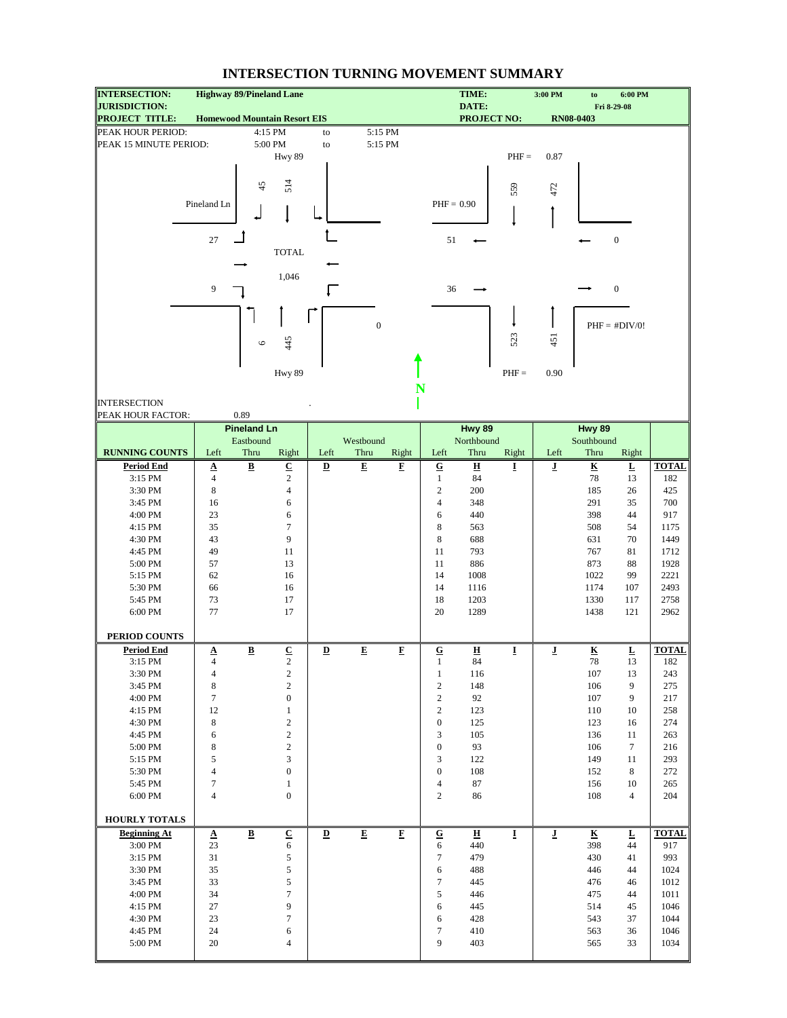| <b>INTERSECTION:</b>                          |                                        | <b>Highway 89/Pineland Lane</b>     |                                        |                          |                         |                          |                    | TIME:                         |         | 3:00 PM | to                       | 6:00 PM                       |              |
|-----------------------------------------------|----------------------------------------|-------------------------------------|----------------------------------------|--------------------------|-------------------------|--------------------------|--------------------|-------------------------------|---------|---------|--------------------------|-------------------------------|--------------|
| <b>JURISDICTION:</b><br><b>PROJECT TITLE:</b> |                                        | <b>Homewood Mountain Resort EIS</b> |                                        |                          |                         |                          |                    | DATE:<br><b>PROJECT NO:</b>   |         |         | <b>RN08-0403</b>         | Fri 8-29-08                   |              |
| PEAK HOUR PERIOD:                             |                                        |                                     | 4:15 PM                                | to                       | 5:15 PM                 |                          |                    |                               |         |         |                          |                               |              |
| PEAK 15 MINUTE PERIOD:                        |                                        |                                     | 5:00 PM                                | to                       | 5:15 PM                 |                          |                    |                               |         |         |                          |                               |              |
|                                               |                                        |                                     | Hwy 89                                 |                          |                         |                          |                    |                               | $PHF =$ | 0.87    |                          |                               |              |
|                                               |                                        |                                     |                                        |                          |                         |                          |                    |                               |         |         |                          |                               |              |
|                                               |                                        |                                     |                                        |                          |                         |                          |                    |                               |         |         |                          |                               |              |
|                                               |                                        | 45                                  | 514                                    |                          |                         |                          |                    |                               | 559     | 472     |                          |                               |              |
|                                               | Pineland Ln                            |                                     |                                        |                          |                         |                          | $PHF = 0.90$       |                               |         |         |                          |                               |              |
|                                               |                                        |                                     |                                        |                          |                         |                          |                    |                               |         |         |                          |                               |              |
|                                               |                                        |                                     |                                        |                          |                         |                          |                    |                               |         |         |                          |                               |              |
|                                               | 27                                     |                                     |                                        |                          |                         |                          | 51                 |                               |         |         |                          | $\boldsymbol{0}$              |              |
|                                               |                                        |                                     | <b>TOTAL</b>                           |                          |                         |                          |                    |                               |         |         |                          |                               |              |
|                                               |                                        |                                     |                                        |                          |                         |                          |                    |                               |         |         |                          |                               |              |
|                                               |                                        |                                     | 1,046                                  |                          |                         |                          |                    |                               |         |         |                          |                               |              |
|                                               | 9                                      |                                     |                                        |                          |                         |                          | 36                 |                               |         |         |                          | $\boldsymbol{0}$              |              |
|                                               |                                        |                                     |                                        |                          |                         |                          |                    |                               |         |         |                          |                               |              |
|                                               |                                        |                                     |                                        |                          |                         |                          |                    |                               |         |         |                          |                               |              |
|                                               |                                        |                                     |                                        |                          | $\overline{0}$          |                          |                    |                               |         |         |                          | $PHF = #DIV/0!$               |              |
|                                               |                                        | $\circ$                             | 445                                    |                          |                         |                          |                    |                               | 523     | 451     |                          |                               |              |
|                                               |                                        |                                     |                                        |                          |                         |                          |                    |                               |         |         |                          |                               |              |
|                                               |                                        |                                     |                                        |                          |                         |                          |                    |                               |         |         |                          |                               |              |
|                                               |                                        |                                     | Hwy 89                                 |                          |                         |                          |                    |                               | $PHF =$ | 0.90    |                          |                               |              |
|                                               |                                        |                                     |                                        |                          |                         | N                        |                    |                               |         |         |                          |                               |              |
| <b>INTERSECTION</b>                           |                                        |                                     |                                        |                          |                         |                          |                    |                               |         |         |                          |                               |              |
| PEAK HOUR FACTOR:                             |                                        | 0.89                                |                                        |                          |                         |                          |                    |                               |         |         |                          |                               |              |
|                                               |                                        | <b>Pineland Ln</b>                  |                                        |                          |                         |                          |                    | Hwy 89                        |         |         | Hwy 89                   |                               |              |
|                                               |                                        | Eastbound                           |                                        |                          | Westbound               |                          |                    | Northbound                    |         |         | Southbound               |                               |              |
| <b>RUNNING COUNTS</b>                         | Left                                   | Thru                                | Right                                  | Left                     | Thru                    | Right                    | Left               | Thru                          | Right   | Left    | Thru                     | Right                         |              |
| <b>Period End</b>                             |                                        |                                     |                                        | D                        | $\overline{\mathbf{E}}$ | F                        |                    |                               | I       |         | $\underline{\mathbf{K}}$ |                               | <b>TOTAL</b> |
| 3:15 PM                                       | $\underline{\mathbf{A}}$<br>$\sqrt{4}$ | $\overline{\mathbf{B}}$             | $\underline{\mathbf{C}}$<br>$\sqrt{2}$ |                          |                         |                          | ${\bf G}$<br>$\,1$ | $\overline{\mathbf{H}}$<br>84 |         | ī       | 78                       | $\overline{\mathbf{r}}$<br>13 | 182          |
| 3:30 PM                                       | 8                                      |                                     | 4                                      |                          |                         |                          | $\overline{c}$     | 200                           |         |         | 185                      | 26                            | 425          |
| 3:45 PM                                       | 16                                     |                                     | 6                                      |                          |                         |                          | $\overline{4}$     | 348                           |         |         | 291                      | 35                            | 700          |
| 4:00 PM                                       | 23                                     |                                     | 6                                      |                          |                         |                          | 6                  | 440                           |         |         | 398                      | 44                            | 917          |
|                                               | 35                                     |                                     | $\tau$                                 |                          |                         |                          | 8                  |                               |         |         | 508                      | 54                            |              |
| 4:15 PM                                       | 43                                     |                                     | 9                                      |                          |                         |                          | 8                  | 563<br>688                    |         |         | 631                      | 70                            | 1175         |
| 4:30 PM<br>4:45 PM                            | 49                                     |                                     | 11                                     |                          |                         |                          | 11                 | 793                           |         |         | 767                      | 81                            | 1449<br>1712 |
| 5:00 PM                                       | 57                                     |                                     | 13                                     |                          |                         |                          | 11                 | 886                           |         |         | 873                      |                               |              |
|                                               | 62                                     |                                     | 16                                     |                          |                         |                          | 14                 |                               |         |         | 1022                     | 88<br>99                      | 1928         |
| 5:15 PM                                       | 66                                     |                                     |                                        |                          |                         |                          | 14                 | 1008                          |         |         | 1174                     |                               | 2221<br>2493 |
| 5:30 PM                                       |                                        |                                     | 16                                     |                          |                         |                          |                    | 1116                          |         |         |                          | 107                           |              |
| 5:45 PM                                       | 73<br>77                               |                                     | 17<br>17                               |                          |                         |                          | 18<br>20           | 1203                          |         |         | 1330                     | 117                           | 2758         |
| 6:00 PM                                       |                                        |                                     |                                        |                          |                         |                          |                    | 1289                          |         |         | 1438                     | 121                           | 2962         |
|                                               |                                        |                                     |                                        |                          |                         |                          |                    |                               |         |         |                          |                               |              |
| PERIOD COUNTS                                 |                                        |                                     |                                        |                          |                         |                          |                    |                               |         |         |                          |                               |              |
| <b>Period End</b>                             | $\mathbf A$                            | $\underline{\mathbf{B}}$            | $\underline{\mathbf{C}}$               | $\overline{\mathbf{D}}$  | ${\bf E}$               | $\mathbf F$              | ${\bf G}$          | $\overline{\mathbf{H}}$       | I       | J       | $\underline{\mathbf{K}}$ | Ŀ                             | <b>TOTAL</b> |
| 3:15 PM                                       | $\overline{4}$                         |                                     | 2                                      |                          |                         |                          | $\mathbf{1}$       | 84                            |         |         | 78                       | 13                            | 182          |
| 3:30 PM                                       | 4                                      |                                     | $\sqrt{2}$                             |                          |                         |                          | $\mathbf{1}$       | 116                           |         |         | 107                      | 13                            | 243          |
| 3:45 PM                                       | 8                                      |                                     | $\sqrt{2}$                             |                          |                         |                          | $\boldsymbol{2}$   | 148                           |         |         | 106                      | 9                             | 275          |
| 4:00 PM                                       | $\tau$                                 |                                     | $\boldsymbol{0}$                       |                          |                         |                          | $\sqrt{2}$         | 92                            |         |         | 107                      | 9                             | 217          |
| 4:15 PM                                       | 12                                     |                                     | $\mathbf{1}$                           |                          |                         |                          | $\overline{c}$     | 123                           |         |         | 110                      | 10                            | 258          |
| 4:30 PM                                       | $\,8\,$                                |                                     | $\sqrt{2}$                             |                          |                         |                          | $\boldsymbol{0}$   | 125                           |         |         | 123                      | 16                            | 274          |
| 4:45 PM                                       | 6                                      |                                     | $\sqrt{2}$                             |                          |                         |                          | 3                  | 105                           |         |         | 136                      | 11                            | 263          |
| 5:00 PM                                       | 8                                      |                                     | $\sqrt{2}$                             |                          |                         |                          | $\boldsymbol{0}$   | 93                            |         |         | 106                      | $\tau$                        | 216          |
| 5:15 PM                                       | $\sqrt{5}$                             |                                     | $\mathfrak{Z}$                         |                          |                         |                          | 3                  | 122                           |         |         | 149                      | 11                            | 293          |
| 5:30 PM                                       | $\overline{4}$                         |                                     | $\boldsymbol{0}$                       |                          |                         |                          | $\boldsymbol{0}$   | 108                           |         |         | 152                      | $\,$ 8 $\,$                   | 272          |
| 5:45 PM                                       | $\tau$                                 |                                     | $\mathbf{1}$                           |                          |                         |                          | $\overline{4}$     | 87                            |         |         | 156                      | $10\,$                        | 265          |
| 6:00 PM                                       | 4                                      |                                     | $\boldsymbol{0}$                       |                          |                         |                          | $\overline{c}$     | 86                            |         |         | 108                      | $\overline{4}$                | 204          |
|                                               |                                        |                                     |                                        |                          |                         |                          |                    |                               |         |         |                          |                               |              |
| HOURLY TOTALS                                 |                                        |                                     |                                        |                          |                         |                          |                    |                               |         |         |                          |                               |              |
| <b>Beginning At</b>                           | $\pmb{\Delta}$                         | $\bf{B}$                            | $\overline{\mathbf{C}}$                | $\underline{\mathbf{D}}$ | ${\bf E}$               | $\underline{\mathbf{F}}$ | $\mathbf G$        | н                             | I       | I       | $\overline{\mathbf{R}}$  | L                             | <b>TOTAL</b> |
| 3:00 PM                                       | 23                                     |                                     | 6                                      |                          |                         |                          | 6                  | 440                           |         |         | 398                      | 44                            | 917          |
| 3:15 PM                                       | 31                                     |                                     | $\sqrt{5}$                             |                          |                         |                          | $\tau$             | 479                           |         |         | 430                      | 41                            | 993          |
| 3:30 PM                                       | 35                                     |                                     | $\sqrt{5}$                             |                          |                         |                          | 6                  | 488                           |         |         | 446                      | 44                            | 1024         |
| 3:45 PM                                       | 33                                     |                                     | $\sqrt{5}$                             |                          |                         |                          | $\tau$             | 445                           |         |         | 476                      | 46                            | 1012         |
| 4:00 PM                                       | 34                                     |                                     | $\tau$                                 |                          |                         |                          | 5                  | 446                           |         |         | 475                      | 44                            | 1011         |
| 4:15 PM                                       | 27                                     |                                     | $\overline{9}$                         |                          |                         |                          | 6                  | 445                           |         |         | 514                      | 45                            | 1046         |
| 4:30 PM                                       | 23                                     |                                     | $\tau$                                 |                          |                         |                          | 6                  | 428                           |         |         | 543                      | 37                            | 1044         |
| 4:45 PM                                       | 24                                     |                                     | $\sqrt{6}$                             |                          |                         |                          | 7                  | 410                           |         |         | 563                      | 36                            | 1046         |
| 5:00 PM                                       | 20                                     |                                     | $\overline{4}$                         |                          |                         |                          | 9                  | 403                           |         |         | 565                      | 33                            | 1034         |
|                                               |                                        |                                     |                                        |                          |                         |                          |                    |                               |         |         |                          |                               |              |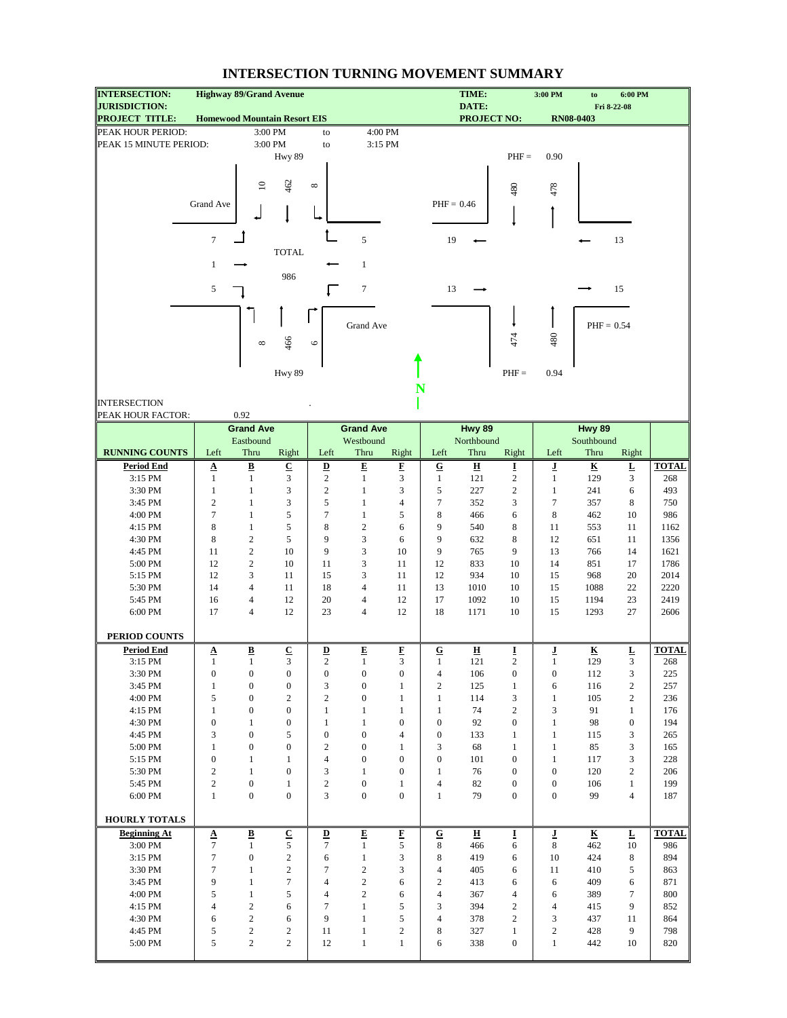| <b>INTERSECTION:</b>                          |                  |                              | <b>Highway 89/Grand Avenue</b>      |                                  |                              |                            |                                  | TIME:                       |                          | 3:00 PM                          | to                      | 6:00 PM                  |              |
|-----------------------------------------------|------------------|------------------------------|-------------------------------------|----------------------------------|------------------------------|----------------------------|----------------------------------|-----------------------------|--------------------------|----------------------------------|-------------------------|--------------------------|--------------|
| <b>JURISDICTION:</b><br><b>PROJECT TITLE:</b> |                  |                              | <b>Homewood Mountain Resort EIS</b> |                                  |                              |                            |                                  | DATE:<br><b>PROJECT NO:</b> |                          |                                  | <b>RN08-0403</b>        | Fri 8-22-08              |              |
| PEAK HOUR PERIOD:                             |                  |                              | 3:00 PM                             | to                               |                              | 4:00 PM                    |                                  |                             |                          |                                  |                         |                          |              |
| PEAK 15 MINUTE PERIOD:                        |                  |                              | 3:00 PM                             | to                               |                              | 3:15 PM                    |                                  |                             |                          |                                  |                         |                          |              |
|                                               |                  |                              | Hwy 89                              |                                  |                              |                            |                                  |                             | $PHF =$                  | 0.90                             |                         |                          |              |
|                                               |                  |                              |                                     |                                  |                              |                            |                                  |                             |                          |                                  |                         |                          |              |
|                                               |                  |                              |                                     |                                  |                              |                            |                                  |                             |                          |                                  |                         |                          |              |
|                                               |                  | $\mathbf{r}$                 | 462                                 | $\infty$                         |                              |                            |                                  |                             | 480                      | 478                              |                         |                          |              |
|                                               | Grand Ave        |                              |                                     |                                  |                              |                            | $PHF = 0.46$                     |                             |                          |                                  |                         |                          |              |
|                                               |                  |                              |                                     |                                  |                              |                            |                                  |                             |                          |                                  |                         |                          |              |
|                                               |                  |                              |                                     |                                  |                              |                            |                                  |                             |                          |                                  |                         |                          |              |
|                                               | $\tau$           |                              |                                     |                                  | 5                            |                            | 19                               |                             |                          |                                  |                         | 13                       |              |
|                                               |                  |                              | <b>TOTAL</b>                        |                                  |                              |                            |                                  |                             |                          |                                  |                         |                          |              |
|                                               | $\mathbf{1}$     |                              |                                     |                                  | $\mathbf{1}$                 |                            |                                  |                             |                          |                                  |                         |                          |              |
|                                               |                  |                              | 986                                 |                                  |                              |                            |                                  |                             |                          |                                  |                         |                          |              |
|                                               | 5                |                              |                                     |                                  | $\tau$                       |                            | 13                               |                             |                          |                                  |                         | 15                       |              |
|                                               |                  |                              |                                     |                                  |                              |                            |                                  |                             |                          |                                  |                         |                          |              |
|                                               |                  |                              |                                     |                                  | Grand Ave                    |                            |                                  |                             |                          |                                  | $PHF = 0.54$            |                          |              |
|                                               |                  |                              |                                     |                                  |                              |                            |                                  |                             |                          |                                  |                         |                          |              |
|                                               |                  | ${}^{\circ}$                 | 466                                 | $\circ$                          |                              |                            |                                  |                             | 474                      | 480                              |                         |                          |              |
|                                               |                  |                              |                                     |                                  |                              |                            |                                  |                             |                          |                                  |                         |                          |              |
|                                               |                  |                              | Hwy 89                              |                                  |                              |                            |                                  |                             | $PHF =$                  | 0.94                             |                         |                          |              |
|                                               |                  |                              |                                     |                                  |                              | N                          |                                  |                             |                          |                                  |                         |                          |              |
| <b>INTERSECTION</b>                           |                  |                              |                                     |                                  |                              |                            |                                  |                             |                          |                                  |                         |                          |              |
| PEAK HOUR FACTOR:                             |                  | 0.92                         |                                     |                                  |                              |                            |                                  |                             |                          |                                  |                         |                          |              |
|                                               |                  | <b>Grand Ave</b>             |                                     |                                  | <b>Grand Ave</b>             |                            |                                  | Hwy 89                      |                          |                                  | Hwy 89                  |                          |              |
|                                               |                  | Eastbound                    |                                     |                                  | Westbound                    |                            |                                  | Northbound                  |                          |                                  | Southbound              |                          |              |
| <b>RUNNING COUNTS</b>                         | Left             | Thru                         | Right                               | Left                             | Thru                         | Right                      | Left                             | Thru                        | Right                    | Left                             | Thru                    | Right                    |              |
| <b>Period End</b>                             | $\Delta$         | $\overline{\mathbf{B}}$      | $\underline{\mathbf{C}}$            | $\underline{\mathbf{D}}$         | $\overline{E}$               | F                          | $\overline{G}$                   | $\underline{\mathbf{H}}$    | Ī                        | ı                                | $\overline{\mathbf{K}}$ | $\underline{\mathbf{L}}$ | <b>TOTAL</b> |
| 3:15 PM                                       | $\mathbf{1}$     | $\mathbf{1}$                 | $\overline{3}$                      | $\sqrt{2}$                       | $\mathbf{1}$                 | 3                          | $\mathbf{1}$                     | 121                         | $\sqrt{2}$               | $\mathbf{1}$                     | 129                     | 3                        | 268          |
| 3:30 PM                                       | $\mathbf{1}$     | $\mathbf{1}$                 | 3                                   | $\overline{c}$                   | $\mathbf{1}$                 | 3                          | 5                                | 227                         | $\sqrt{2}$               | $\mathbf{1}$                     | 241                     | 6                        | 493          |
| 3:45 PM                                       | $\overline{2}$   | $\mathbf{1}$                 | 3                                   | 5                                | $\mathbf{1}$                 | $\overline{4}$             | $\tau$                           | 352                         | 3                        | $\tau$                           | 357                     | 8                        | 750          |
| 4:00 PM                                       | $\tau$           | $\mathbf{1}$                 | 5                                   | $\tau$                           | $\mathbf{1}$                 | 5                          | 8                                | 466                         | 6                        | 8                                | 462                     | 10                       | 986          |
| 4:15 PM                                       | 8                | $\mathbf{1}$                 | $\sqrt{5}$                          | 8                                | $\sqrt{2}$                   | 6                          | 9                                | 540                         | 8                        | 11                               | 553                     | 11                       | 1162         |
| 4:30 PM                                       | 8                | $\sqrt{2}$                   | 5                                   | 9                                | 3                            | 6                          | 9                                | 632                         | 8                        | 12                               | 651                     | 11                       | 1356         |
| 4:45 PM                                       | 11               | $\sqrt{2}$                   | 10                                  | 9                                | 3                            | 10                         | 9                                | 765                         | 9                        | 13                               | 766                     | 14                       | 1621         |
| 5:00 PM                                       | 12               | $\sqrt{2}$                   | 10                                  | 11                               | 3                            | 11                         | 12                               | 833                         | 10                       | 14                               | 851                     | 17                       | 1786         |
| 5:15 PM                                       | 12               | 3                            | 11                                  | 15                               | 3                            | 11                         | 12                               | 934                         | 10                       | 15                               | 968                     | 20                       | 2014         |
| 5:30 PM                                       | 14               | $\overline{4}$               | 11                                  | 18                               | 4                            | 11                         | 13                               | 1010                        | 10                       | 15                               | 1088                    | 22                       | 2220         |
| 5:45 PM                                       | 16               | $\overline{4}$               | 12                                  | 20                               | 4                            | 12                         | 17                               | 1092                        | 10                       | 15                               | 1194                    | 23                       | 2419         |
| 6:00 PM                                       | 17               | $\overline{4}$               | 12                                  | 23                               | $\overline{4}$               | 12                         | 18                               | 1171                        | 10                       | 15                               | 1293                    | 27                       | 2606         |
|                                               |                  |                              |                                     |                                  |                              |                            |                                  |                             |                          |                                  |                         |                          |              |
| PERIOD COUNTS                                 |                  |                              |                                     |                                  |                              |                            |                                  |                             |                          |                                  |                         |                          |              |
| <b>Period End</b>                             | $\mathbf A$      | $\underline{\mathbf{B}}$     | ${\bf C}$                           | $\overline{\mathbf{D}}$          | E                            | E                          | ${\bf G}$                        | $\overline{\mathbf{H}}$     | I                        | ī                                | $\overline{\mathbf{R}}$ | L                        | <b>TOTAL</b> |
| 3:15 PM                                       | $\mathbf{1}$     | 1                            | 3                                   | $\overline{c}$                   | $\mathbf{1}$                 | 3                          | 1                                | 121                         | $\overline{c}$           | 1                                | 129                     | 3                        | 268          |
| 3:30 PM                                       | $\boldsymbol{0}$ | $\boldsymbol{0}$             | $\boldsymbol{0}$                    | $\boldsymbol{0}$                 | $\boldsymbol{0}$             | $\boldsymbol{0}$           | $\overline{4}$                   | 106                         | $\boldsymbol{0}$         | $\boldsymbol{0}$                 | 112                     | 3                        | 225          |
| 3:45 PM                                       | $\mathbf{1}$     | $\boldsymbol{0}$             | $\boldsymbol{0}$                    | 3                                | $\boldsymbol{0}$             | $\mathbf{1}$               | $\overline{c}$                   | 125                         | $\mathbf{1}$             | 6                                | 116                     | $\sqrt{2}$               | 257          |
| 4:00 PM                                       | 5                | $\boldsymbol{0}$             | $\sqrt{2}$                          | $\overline{c}$                   | $\boldsymbol{0}$             | $\mathbf{1}$               | $\mathbf{1}$                     | 114                         | 3                        | $\mathbf{1}$                     | 105                     | $\overline{2}$           | 236          |
| 4:15 PM                                       | $\mathbf{1}$     | $\boldsymbol{0}$             | $\boldsymbol{0}$                    | $\mathbf{1}$                     | $\mathbf{1}$                 | $\mathbf{1}$               | $\mathbf{1}$                     | 74                          | $\overline{c}$           | 3                                | 91                      | $\mathbf{1}$             | 176          |
| 4:30 PM                                       | $\boldsymbol{0}$ | $\mathbf{1}$                 | $\boldsymbol{0}$                    | $\mathbf{1}$                     | $\mathbf{1}$                 | $\mathbf{0}$               | $\mathbf{0}$                     | 92                          | $\mathbf{0}$             | $\mathbf{1}$                     | 98                      | $\mathbf{0}$             | 194          |
| 4:45 PM                                       | 3                | $\boldsymbol{0}$             | $\sqrt{5}$                          | $\boldsymbol{0}$                 | $\boldsymbol{0}$             | $\overline{4}$             | $\mathbf{0}$                     | 133                         | $\mathbf{1}$             | $\mathbf{1}$                     | 115                     | 3                        | 265          |
| 5:00 PM                                       | $\mathbf{1}$     | $\boldsymbol{0}$             | $\boldsymbol{0}$                    | $\mathfrak{2}$                   | $\boldsymbol{0}$             | $\mathbf{1}$               | 3                                | 68                          | $\mathbf{1}$             | $\mathbf{1}$                     | 85                      | 3                        | 165          |
| 5:15 PM                                       | $\boldsymbol{0}$ | $\mathbf{1}$                 | $\mathbf{1}$                        | $\overline{4}$                   | $\boldsymbol{0}$             | $\boldsymbol{0}$           | $\boldsymbol{0}$                 | 101                         | $\boldsymbol{0}$         | $\mathbf{1}$                     | 117                     | 3                        | 228          |
| 5:30 PM                                       | $\mathfrak{2}$   | $\mathbf{1}$                 | $\boldsymbol{0}$                    | 3                                | $\mathbf{1}$                 | $\boldsymbol{0}$           | $\mathbf{1}$                     | 76                          | $\boldsymbol{0}$         | $\boldsymbol{0}$                 | 120                     | $\overline{2}$           | 206          |
| 5:45 PM                                       | $\overline{c}$   | $\boldsymbol{0}$             | $\mathbf{1}$                        | $\overline{c}$                   | $\boldsymbol{0}$             | $\mathbf{1}$               | $\overline{4}$                   | 82                          | $\boldsymbol{0}$         | $\boldsymbol{0}$                 | 106                     | $\mathbf{1}$             | 199          |
| 6:00 PM                                       | $\mathbf{1}$     | $\boldsymbol{0}$             | $\boldsymbol{0}$                    | 3                                | $\boldsymbol{0}$             | $\boldsymbol{0}$           | $\mathbf{1}$                     | 79                          | $\mathbf{0}$             | $\boldsymbol{0}$                 | 99                      | $\overline{4}$           | 187          |
|                                               |                  |                              |                                     |                                  |                              |                            |                                  |                             |                          |                                  |                         |                          |              |
| <b>HOURLY TOTALS</b>                          |                  |                              |                                     |                                  |                              |                            |                                  |                             |                          |                                  |                         |                          |              |
| <b>Beginning At</b>                           | Δ                | $\underline{\mathbf{B}}$     | $\underline{\mathbf{C}}$            | $\overline{\mathbf{D}}$          | E                            | F                          | ${\bf G}$                        | 프                           | I                        | ī                                | $\overline{\textbf{K}}$ | Ŀ                        | <b>TOTAL</b> |
| 3:00 PM                                       | $\tau$           | $\mathbf{1}$                 | 5                                   | $\tau$                           | $\mathbf{1}$                 | 5                          | 8                                | 466                         | 6                        | 8                                | 462                     | 10                       | 986          |
| 3:15 PM                                       | $\tau$           | $\boldsymbol{0}$             | $\sqrt{2}$                          | 6                                | $\mathbf 1$                  | 3                          | 8                                | 419                         | 6                        | 10                               | 424                     | 8                        | 894          |
| 3:30 PM                                       | $\tau$           | $\mathbf{1}$                 | $\sqrt{2}$                          | $\tau$                           | $\overline{c}$               | 3                          | $\overline{4}$                   | 405                         | 6                        | 11                               | 410                     | 5                        | 863          |
| 3:45 PM<br>4:00 PM                            | 9<br>$\sqrt{5}$  | $\mathbf{1}$<br>$\mathbf{1}$ | $\tau$<br>$\sqrt{5}$                | $\overline{4}$<br>$\overline{4}$ | $\sqrt{2}$<br>$\overline{c}$ | 6<br>6                     | $\overline{c}$<br>$\overline{4}$ | 413                         | 6<br>$\overline{4}$      | 6                                | 409<br>389              | 6<br>$\tau$              | 871<br>800   |
| 4:15 PM                                       | $\overline{4}$   | $\sqrt{2}$                   | 6                                   | $\overline{7}$                   | $\mathbf{1}$                 | 5                          | 3                                | 367<br>394                  | $\overline{c}$           | 6<br>4                           |                         | 9                        |              |
|                                               | 6                | $\sqrt{2}$                   | 6                                   | 9                                | $\mathbf{1}$                 | 5                          | $\overline{4}$                   |                             | $\overline{c}$           |                                  | 415                     |                          | 852          |
| 4:30 PM                                       |                  |                              |                                     |                                  |                              |                            |                                  | 378                         |                          | 3                                | 437                     | 11                       | 864          |
|                                               |                  |                              |                                     |                                  |                              |                            |                                  |                             |                          |                                  |                         |                          |              |
| 4:45 PM<br>5:00 PM                            | $\sqrt{5}$<br>5  | $\sqrt{2}$<br>$\sqrt{2}$     | $\sqrt{2}$<br>$\sqrt{2}$            | 11<br>12                         | $\mathbf{1}$<br>$\mathbf{1}$ | $\sqrt{2}$<br>$\mathbf{1}$ | 8<br>6                           | 327<br>338                  | $\mathbf{1}$<br>$\bf{0}$ | $\boldsymbol{2}$<br>$\mathbf{1}$ | 428<br>442              | 9<br>10                  | 798<br>820   |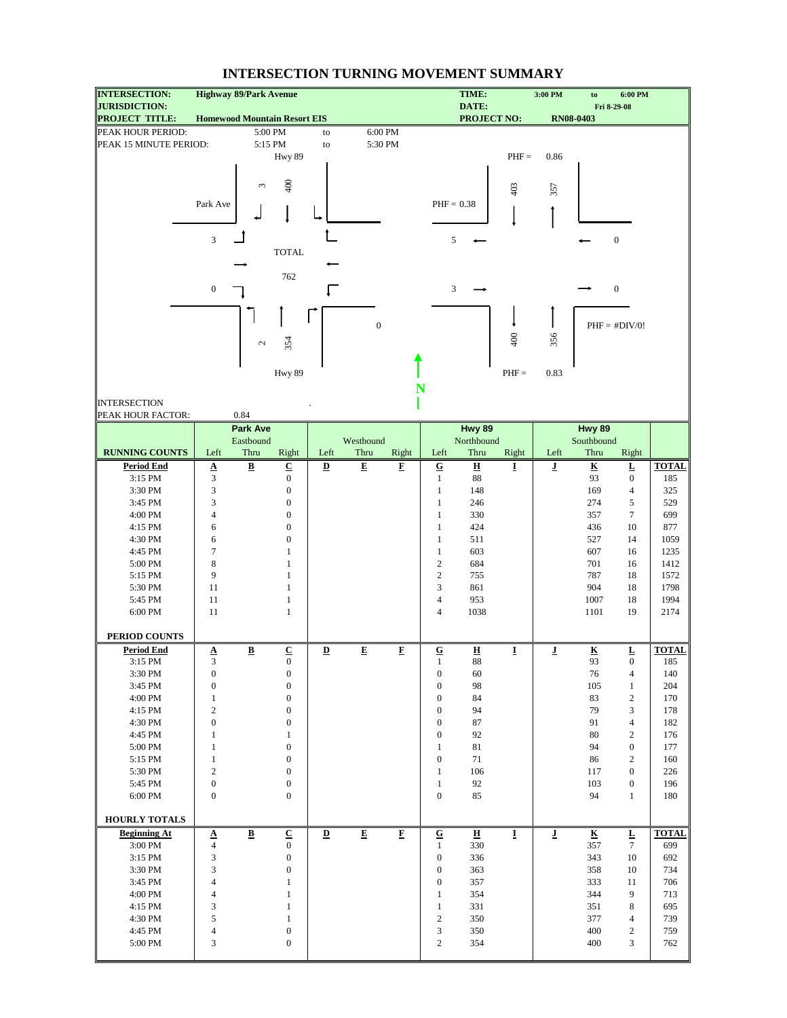| <b>INTERSECTION:</b>                          | <b>Highway 89/Park Avenue</b>       |                          |                           |                         |                         |                          |                           | TIME:                             |         | 3:00 PM                 | to                            | 6:00 PM                  |                     |
|-----------------------------------------------|-------------------------------------|--------------------------|---------------------------|-------------------------|-------------------------|--------------------------|---------------------------|-----------------------------------|---------|-------------------------|-------------------------------|--------------------------|---------------------|
| <b>JURISDICTION:</b><br><b>PROJECT TITLE:</b> | <b>Homewood Mountain Resort EIS</b> |                          |                           |                         |                         |                          |                           | DATE:<br><b>PROJECT NO:</b>       |         |                         | <b>RN08-0403</b>              | Fri 8-29-08              |                     |
| PEAK HOUR PERIOD:                             |                                     | 5:00 PM                  |                           | to                      | 6:00 PM                 |                          |                           |                                   |         |                         |                               |                          |                     |
| PEAK 15 MINUTE PERIOD:                        |                                     | 5:15 PM                  |                           | to                      | 5:30 PM                 |                          |                           |                                   |         |                         |                               |                          |                     |
|                                               |                                     |                          | Hwy 89                    |                         |                         |                          |                           |                                   | $PHF =$ | 0.86                    |                               |                          |                     |
|                                               |                                     |                          |                           |                         |                         |                          |                           |                                   |         |                         |                               |                          |                     |
|                                               |                                     |                          |                           |                         |                         |                          |                           |                                   |         |                         |                               |                          |                     |
|                                               |                                     | 3                        | 400                       |                         |                         |                          |                           |                                   | 403     | 357                     |                               |                          |                     |
|                                               | Park Ave                            |                          |                           |                         |                         |                          | $PHF = 0.38$              |                                   |         |                         |                               |                          |                     |
|                                               |                                     |                          |                           |                         |                         |                          |                           |                                   |         |                         |                               |                          |                     |
|                                               |                                     |                          |                           |                         |                         |                          |                           |                                   |         |                         |                               |                          |                     |
|                                               | $\mathfrak{Z}$                      |                          |                           |                         |                         |                          | 5                         |                                   |         |                         |                               | $\boldsymbol{0}$         |                     |
|                                               |                                     |                          | <b>TOTAL</b>              |                         |                         |                          |                           |                                   |         |                         |                               |                          |                     |
|                                               |                                     |                          |                           |                         |                         |                          |                           |                                   |         |                         |                               |                          |                     |
|                                               |                                     |                          | 762                       |                         |                         |                          |                           |                                   |         |                         |                               |                          |                     |
|                                               | $\boldsymbol{0}$                    |                          |                           |                         |                         |                          | 3                         |                                   |         |                         |                               | $\boldsymbol{0}$         |                     |
|                                               |                                     |                          |                           |                         |                         |                          |                           |                                   |         |                         |                               |                          |                     |
|                                               |                                     |                          |                           |                         | $\boldsymbol{0}$        |                          |                           |                                   |         |                         |                               | $PHF = #DIV/0!$          |                     |
|                                               |                                     |                          |                           |                         |                         |                          |                           |                                   | 400     | 356                     |                               |                          |                     |
|                                               |                                     | $\mathcal{L}$            | 354                       |                         |                         |                          |                           |                                   |         |                         |                               |                          |                     |
|                                               |                                     |                          |                           |                         |                         |                          |                           |                                   |         |                         |                               |                          |                     |
|                                               |                                     |                          | Hwy 89                    |                         |                         |                          |                           |                                   | $PHF =$ | 0.83                    |                               |                          |                     |
|                                               |                                     |                          |                           |                         |                         | N                        |                           |                                   |         |                         |                               |                          |                     |
| <b>INTERSECTION</b>                           |                                     |                          |                           |                         |                         |                          |                           |                                   |         |                         |                               |                          |                     |
| PEAK HOUR FACTOR:                             |                                     | 0.84                     |                           |                         |                         |                          |                           |                                   |         |                         |                               |                          |                     |
|                                               |                                     | <b>Park Ave</b>          |                           |                         |                         |                          |                           | Hwy 89                            |         |                         | Hwy 89                        |                          |                     |
|                                               |                                     | Eastbound                |                           |                         | Westbound               |                          |                           | Northbound                        |         |                         | Southbound                    |                          |                     |
| <b>RUNNING COUNTS</b>                         | Left                                | Thru                     | Right                     | Left                    | Thru                    | Right                    | Left                      | Thru                              | Right   | Left                    | Thru                          | Right                    |                     |
| <b>Period End</b>                             | $rac{A}{3}$                         | $\overline{\mathbf{B}}$  | $\overline{C}$            | $\overline{\mathbf{D}}$ | $\overline{\mathbf{E}}$ | $\underline{\mathbf{F}}$ | $\overline{\mathbf{G}}$   | $\overline{\mathbf{H}}$           | I       | ī                       | $\overline{\mathbf{K}}$       | $\underline{\mathbf{L}}$ | <b>TOTAL</b>        |
| 3:15 PM                                       |                                     |                          | $\bf{0}$                  |                         |                         |                          | $\mathbf{1}$              | 88                                |         |                         | 93                            | $\boldsymbol{0}$         | 185                 |
| 3:30 PM                                       | $\mathfrak{Z}$                      |                          | $\boldsymbol{0}$          |                         |                         |                          | $\mathbf{1}$              | 148                               |         |                         | 169                           | $\overline{4}$           | 325                 |
| 3:45 PM                                       | 3                                   |                          | $\boldsymbol{0}$          |                         |                         |                          | $\mathbf{1}$              | 246                               |         |                         | 274                           | $\sqrt{5}$               | 529                 |
| 4:00 PM                                       | $\overline{4}$                      |                          | $\boldsymbol{0}$          |                         |                         |                          | $\mathbf{1}$              | 330                               |         |                         | 357                           | $\tau$                   | 699                 |
| 4:15 PM                                       | 6                                   |                          | $\boldsymbol{0}$          |                         |                         |                          | $\mathbf{1}$              | 424                               |         |                         | 436                           | 10                       | 877                 |
| 4:30 PM                                       | 6                                   |                          | $\mathbf{0}$              |                         |                         |                          | $\mathbf{1}$              | 511                               |         |                         | 527                           | 14                       | 1059                |
| 4:45 PM                                       | $\tau$                              |                          | 1                         |                         |                         |                          | $\mathbf{1}$              | 603                               |         |                         | 607                           | 16                       | 1235                |
| 5:00 PM                                       | 8                                   |                          | $\mathbf{1}$              |                         |                         |                          | $\overline{c}$            | 684                               |         |                         | 701                           | 16                       | 1412                |
| 5:15 PM                                       | 9                                   |                          | $\mathbf{1}$              |                         |                         |                          | $\overline{c}$            | 755                               |         |                         | 787                           | 18                       | 1572                |
| 5:30 PM                                       | 11                                  |                          | $\mathbf{1}$              |                         |                         |                          | 3                         | 861                               |         |                         | 904                           | 18                       | 1798                |
| 5:45 PM                                       | 11                                  |                          | $\mathbf{1}$              |                         |                         |                          | $\overline{4}$            | 953                               |         |                         | 1007                          | 18                       | 1994                |
| 6:00 PM                                       | 11                                  |                          | $\mathbf{1}$              |                         |                         |                          | $\overline{4}$            | 1038                              |         |                         | 1101                          | 19                       | 2174                |
|                                               |                                     |                          |                           |                         |                         |                          |                           |                                   |         |                         |                               |                          |                     |
| PERIOD COUNTS                                 |                                     |                          |                           |                         |                         |                          |                           |                                   |         |                         |                               |                          |                     |
| <b>Period End</b><br>3:15 PM                  | $\underline{\mathbf{A}}$<br>3       | $\underline{\mathbf{B}}$ | ${\bf C}$<br>$\mathbf{0}$ | $\overline{\mathbf{D}}$ | E                       | F                        | ${\bf G}$<br>$\mathbf{1}$ | $\overline{\mathbf{H}}$<br>$88\,$ | 1       | ī                       | $\overline{\mathbf{K}}$<br>93 | L<br>$\overline{0}$      | <b>TOTAL</b><br>185 |
| 3:30 PM                                       | $\boldsymbol{0}$                    |                          | $\boldsymbol{0}$          |                         |                         |                          | $\boldsymbol{0}$          | 60                                |         |                         | 76                            | $\overline{4}$           | 140                 |
| 3:45 PM                                       | $\boldsymbol{0}$                    |                          | $\boldsymbol{0}$          |                         |                         |                          | $\boldsymbol{0}$          | 98                                |         |                         | 105                           | $\mathbf{1}$             | 204                 |
| 4:00 PM                                       | $\mathbf{1}$                        |                          | $\boldsymbol{0}$          |                         |                         |                          | $\boldsymbol{0}$          | 84                                |         |                         | 83                            | $\sqrt{2}$               | 170                 |
| 4:15 PM                                       | $\sqrt{2}$                          |                          | $\boldsymbol{0}$          |                         |                         |                          | $\boldsymbol{0}$          | 94                                |         |                         | 79                            | 3                        | 178                 |
| 4:30 PM                                       | $\boldsymbol{0}$                    |                          | $\boldsymbol{0}$          |                         |                         |                          | $\boldsymbol{0}$          | 87                                |         |                         | 91                            | $\overline{4}$           | 182                 |
| 4:45 PM                                       | $\mathbf{1}$                        |                          | $\mathbf{1}$              |                         |                         |                          | $\boldsymbol{0}$          | 92                                |         |                         | 80                            | $\overline{2}$           | 176                 |
| 5:00 PM                                       | $\mathbf{1}$                        |                          | $\boldsymbol{0}$          |                         |                         |                          | $\mathbf{1}$              | $81\,$                            |         |                         | 94                            | $\boldsymbol{0}$         | 177                 |
| $5:15$ PM $\,$                                | $\mathbf{1}$                        |                          | $\boldsymbol{0}$          |                         |                         |                          | $\boldsymbol{0}$          | 71                                |         |                         | 86                            | $\sqrt{2}$               | 160                 |
| 5:30 PM                                       | $\overline{c}$                      |                          | $\boldsymbol{0}$          |                         |                         |                          | $\mathbf{1}$              | 106                               |         |                         | 117                           | $\boldsymbol{0}$         | 226                 |
| 5:45 PM                                       | $\boldsymbol{0}$                    |                          | $\boldsymbol{0}$          |                         |                         |                          | $\mathbf{1}$              | 92                                |         |                         | 103                           | $\boldsymbol{0}$         | 196                 |
| 6:00 PM                                       | $\boldsymbol{0}$                    |                          | $\boldsymbol{0}$          |                         |                         |                          | $\boldsymbol{0}$          | 85                                |         |                         | 94                            | $\mathbf{1}$             | 180                 |
|                                               |                                     |                          |                           |                         |                         |                          |                           |                                   |         |                         |                               |                          |                     |
| <b>HOURLY TOTALS</b>                          |                                     |                          |                           |                         |                         |                          |                           |                                   |         |                         |                               |                          |                     |
| <b>Beginning At</b>                           | $\pmb{\Delta}$                      | $\overline{\mathbf{B}}$  | $\overline{\mathbf{C}}$   | $\overline{\mathbf{D}}$ | $\overline{\mathbf{E}}$ | $\overline{\mathbf{F}}$  | ${\bf G}$                 | $\overline{\mathbf{H}}$           | I       | $\overline{\mathbf{I}}$ | $\overline{\mathbf{K}}$       | $\overline{\mathbf{r}}$  | <b>TOTAL</b>        |
| 3:00 PM                                       | $\overline{4}$                      |                          | $\boldsymbol{0}$          |                         |                         |                          | $\mathbf{1}$              | 330                               |         |                         | 357                           | $\tau$                   | 699                 |
| 3:15 PM                                       | 3                                   |                          | $\boldsymbol{0}$          |                         |                         |                          | $\boldsymbol{0}$          | 336                               |         |                         | 343                           | 10                       | 692                 |
| 3:30 PM                                       | 3                                   |                          | $\boldsymbol{0}$          |                         |                         |                          | $\mathbf{0}$              | 363                               |         |                         | 358                           | 10                       | 734                 |
| 3:45 PM                                       | $\overline{4}$                      |                          | $\mathbf{1}$              |                         |                         |                          | $\mathbf{0}$              | 357                               |         |                         | 333                           | 11                       | 706                 |
| 4:00 PM                                       | $\overline{4}$                      |                          | $\mathbf{1}$              |                         |                         |                          | $\mathbf{1}$              | 354                               |         |                         | 344                           | 9                        | 713                 |
| 4:15 PM                                       | 3                                   |                          | $\mathbf{1}$              |                         |                         |                          | $\mathbf{1}$              | 331                               |         |                         | 351                           | 8                        | 695                 |
| 4:30 PM                                       | 5                                   |                          | $\mathbf{1}$              |                         |                         |                          | $\overline{c}$            | 350                               |         |                         | 377                           | $\overline{4}$           | 739                 |
| 4:45 PM                                       | $\overline{4}$                      |                          | $\boldsymbol{0}$          |                         |                         |                          | 3                         | 350                               |         |                         | 400                           | 2                        | 759                 |
| 5:00 PM                                       | 3                                   |                          | $\boldsymbol{0}$          |                         |                         |                          | $\overline{c}$            | 354                               |         |                         | 400                           | 3                        | 762                 |
|                                               |                                     |                          |                           |                         |                         |                          |                           |                                   |         |                         |                               |                          |                     |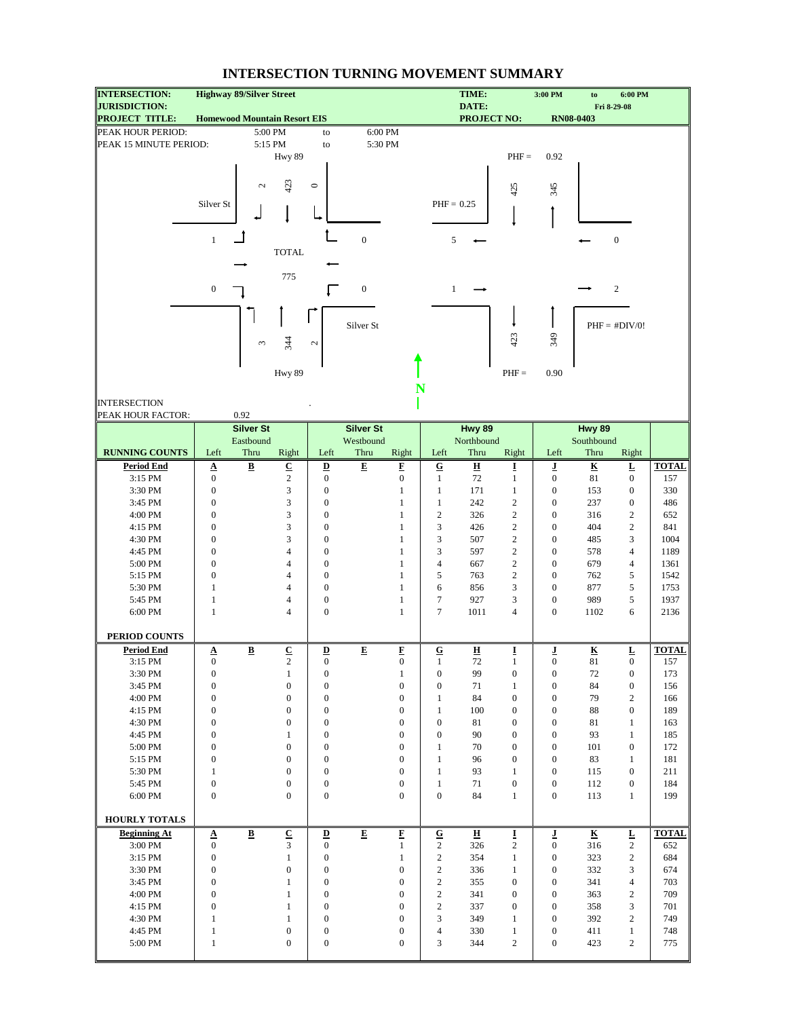| <b>INTERSECTION:</b>                          | <b>Highway 89/Silver Street</b>     |                          |                          |                                      |                      |                              |                  | TIME:                       |                     | 3:00 PM                              | to                       | 6:00 PM                  |              |
|-----------------------------------------------|-------------------------------------|--------------------------|--------------------------|--------------------------------------|----------------------|------------------------------|------------------|-----------------------------|---------------------|--------------------------------------|--------------------------|--------------------------|--------------|
| <b>JURISDICTION:</b><br><b>PROJECT TITLE:</b> | <b>Homewood Mountain Resort EIS</b> |                          |                          |                                      |                      |                              |                  | DATE:<br><b>PROJECT NO:</b> |                     |                                      | <b>RN08-0403</b>         | Fri 8-29-08              |              |
| PEAK HOUR PERIOD:                             |                                     | 5:00 PM                  |                          | to                                   |                      | 6:00 PM                      |                  |                             |                     |                                      |                          |                          |              |
| PEAK 15 MINUTE PERIOD:                        |                                     | 5:15 PM                  |                          | to                                   |                      | 5:30 PM                      |                  |                             |                     |                                      |                          |                          |              |
|                                               |                                     |                          | Hwy 89                   |                                      |                      |                              |                  |                             | $PHF =$             | 0.92                                 |                          |                          |              |
|                                               |                                     |                          |                          |                                      |                      |                              |                  |                             |                     |                                      |                          |                          |              |
|                                               |                                     |                          |                          |                                      |                      |                              |                  |                             |                     |                                      |                          |                          |              |
|                                               |                                     | $\mathbf{C}$             | 423                      | $\circ$                              |                      |                              |                  |                             | 425                 | 345                                  |                          |                          |              |
|                                               | Silver St                           |                          |                          |                                      |                      |                              | $PHF = 0.25$     |                             |                     |                                      |                          |                          |              |
|                                               |                                     |                          |                          |                                      |                      |                              |                  |                             |                     |                                      |                          |                          |              |
|                                               |                                     |                          |                          |                                      |                      |                              |                  |                             |                     |                                      |                          |                          |              |
|                                               | $\mathbf{1}$                        |                          |                          |                                      | $\overline{0}$       |                              | 5                |                             |                     |                                      |                          | $\boldsymbol{0}$         |              |
|                                               |                                     |                          | <b>TOTAL</b>             |                                      |                      |                              |                  |                             |                     |                                      |                          |                          |              |
|                                               |                                     |                          |                          |                                      |                      |                              |                  |                             |                     |                                      |                          |                          |              |
|                                               | $\boldsymbol{0}$                    |                          | 775                      |                                      |                      |                              |                  |                             |                     |                                      |                          |                          |              |
|                                               |                                     |                          |                          |                                      | $\boldsymbol{0}$     |                              | $\mathbf{1}$     |                             |                     |                                      |                          | $\sqrt{2}$               |              |
|                                               |                                     |                          |                          |                                      |                      |                              |                  |                             |                     |                                      |                          |                          |              |
|                                               |                                     |                          |                          |                                      | Silver <sub>St</sub> |                              |                  |                             |                     |                                      |                          | $PHF = #DIV/0!$          |              |
|                                               |                                     |                          |                          |                                      |                      |                              |                  |                             | 423                 | 349                                  |                          |                          |              |
|                                               |                                     | 3                        | 344                      | $\mathbf{C}$                         |                      |                              |                  |                             |                     |                                      |                          |                          |              |
|                                               |                                     |                          |                          |                                      |                      |                              |                  |                             |                     |                                      |                          |                          |              |
|                                               |                                     |                          | Hwy 89                   |                                      |                      |                              |                  |                             | $PHF =$             | 0.90                                 |                          |                          |              |
|                                               |                                     |                          |                          |                                      |                      |                              | N                |                             |                     |                                      |                          |                          |              |
| <b>INTERSECTION</b>                           |                                     |                          |                          |                                      |                      |                              |                  |                             |                     |                                      |                          |                          |              |
| PEAK HOUR FACTOR:                             |                                     | 0.92                     |                          |                                      |                      |                              |                  |                             |                     |                                      |                          |                          |              |
|                                               |                                     | <b>Silver St</b>         |                          |                                      | <b>Silver St</b>     |                              |                  | Hwy 89                      |                     |                                      | Hwy 89                   |                          |              |
|                                               |                                     | Eastbound                |                          |                                      | Westbound            |                              |                  | Northbound                  |                     |                                      | Southbound               |                          |              |
| <b>RUNNING COUNTS</b>                         | Left                                | Thru                     | Right                    | Left                                 | Thru                 | Right                        | Left             | Thru                        | Right               | Left                                 | Thru                     | Right                    |              |
| <b>Period End</b>                             | $\Delta$                            | $\underline{\mathbf{B}}$ | $\underline{\mathbf{C}}$ | $\underline{\mathbf{D}}$             | $\overline{E}$       | E                            | $\overline{G}$   | $\overline{\mathbf{H}}$     | Ī                   | ı                                    | $\underline{\mathbf{K}}$ | $\underline{\mathbf{L}}$ | <b>TOTAL</b> |
| 3:15 PM                                       | $\boldsymbol{0}$                    |                          | $\sqrt{2}$               | $\boldsymbol{0}$                     |                      | $\boldsymbol{0}$             | $\mathbf{1}$     | 72                          | $\mathbf{1}$        | $\boldsymbol{0}$                     | 81                       | $\boldsymbol{0}$         | 157          |
| 3:30 PM                                       | $\boldsymbol{0}$                    |                          | $\mathfrak{Z}$           | $\boldsymbol{0}$                     |                      | $\mathbf{1}$                 | $\mathbf{1}$     | 171                         | $\mathbf{1}$        | $\boldsymbol{0}$                     | 153                      | $\boldsymbol{0}$         | 330          |
| 3:45 PM                                       | $\boldsymbol{0}$                    |                          | 3                        | $\boldsymbol{0}$                     |                      | $\mathbf{1}$                 | $\mathbf{1}$     | 242                         | $\mathfrak{2}$      | $\boldsymbol{0}$                     | 237                      | $\boldsymbol{0}$         | 486          |
| 4:00 PM                                       | $\boldsymbol{0}$                    |                          | 3                        | $\boldsymbol{0}$                     |                      | $\mathbf{1}$                 | $\boldsymbol{2}$ | 326                         | $\mathfrak{2}$      | $\boldsymbol{0}$                     | 316                      | $\sqrt{2}$               | 652          |
| 4:15 PM                                       | $\boldsymbol{0}$                    |                          | 3                        | $\boldsymbol{0}$                     |                      | 1                            | 3                | 426                         | $\sqrt{2}$          | $\boldsymbol{0}$                     | 404                      | $\sqrt{2}$               | 841          |
| 4:30 PM                                       | $\boldsymbol{0}$                    |                          | 3                        | $\boldsymbol{0}$                     |                      | 1                            | 3                | 507                         | $\overline{c}$      | $\boldsymbol{0}$                     | 485                      | 3                        | 1004         |
| 4:45 PM                                       | $\boldsymbol{0}$                    |                          | 4                        | $\boldsymbol{0}$                     |                      | 1                            | 3                | 597                         | $\overline{c}$      | $\boldsymbol{0}$                     | 578                      | $\overline{4}$           | 1189         |
| 5:00 PM                                       | $\boldsymbol{0}$                    |                          | 4                        | $\boldsymbol{0}$                     |                      | 1                            | $\overline{4}$   | 667                         | $\overline{c}$      | $\boldsymbol{0}$                     | 679                      | $\overline{4}$           | 1361         |
| 5:15 PM<br>5:30 PM                            | $\mathbf{0}$<br>1                   |                          | 4<br>$\overline{4}$      | $\boldsymbol{0}$<br>$\boldsymbol{0}$ |                      | $\mathbf{1}$<br>$\mathbf{1}$ | 5<br>6           | 763<br>856                  | $\overline{c}$<br>3 | $\boldsymbol{0}$                     | 762<br>877               | 5<br>5                   | 1542<br>1753 |
| 5:45 PM                                       | 1                                   |                          | 4                        | $\boldsymbol{0}$                     |                      | 1                            | $\tau$           | 927                         | 3                   | $\boldsymbol{0}$<br>$\boldsymbol{0}$ | 989                      | 5                        | 1937         |
| 6:00 PM                                       | $\mathbf{1}$                        |                          | $\overline{4}$           | $\boldsymbol{0}$                     |                      | $\mathbf{1}$                 | $\tau$           | 1011                        | $\overline{4}$      | $\boldsymbol{0}$                     | 1102                     | 6                        | 2136         |
|                                               |                                     |                          |                          |                                      |                      |                              |                  |                             |                     |                                      |                          |                          |              |
| PERIOD COUNTS                                 |                                     |                          |                          |                                      |                      |                              |                  |                             |                     |                                      |                          |                          |              |
| <b>Period End</b>                             | $\underline{\mathbf{A}}$            | $\underline{\mathbf{B}}$ | $\underline{\mathbf{C}}$ | $\underline{\mathbf{D}}$             | $\mathbf E$          | $\mathbf F$                  | ${\bf G}$        | $\overline{\mathbf{H}}$     | I                   | ſ                                    | $\underline{\mathbf{K}}$ | L                        | <b>TOTAL</b> |
| 3:15 PM                                       | $\boldsymbol{0}$                    |                          | $\sqrt{2}$               | $\boldsymbol{0}$                     |                      | $\mathbf{0}$                 | $\mathbf{1}$     | 72                          | $\mathbf{1}$        | $\boldsymbol{0}$                     | 81                       | $\boldsymbol{0}$         | 157          |
| 3:30 PM                                       | $\boldsymbol{0}$                    |                          | $\mathbf{1}$             | $\boldsymbol{0}$                     |                      | $\mathbf{1}$                 | $\boldsymbol{0}$ | 99                          | $\boldsymbol{0}$    | $\boldsymbol{0}$                     | 72                       | $\boldsymbol{0}$         | 173          |
| 3:45 PM                                       | $\boldsymbol{0}$                    |                          | $\boldsymbol{0}$         | $\boldsymbol{0}$                     |                      | $\boldsymbol{0}$             | $\boldsymbol{0}$ | 71                          | $\mathbf{1}$        | $\boldsymbol{0}$                     | 84                       | $\boldsymbol{0}$         | 156          |
| 4:00 PM                                       | $\boldsymbol{0}$                    |                          | $\boldsymbol{0}$         | $\boldsymbol{0}$                     |                      | $\boldsymbol{0}$             | $\mathbf{1}$     | 84                          | $\boldsymbol{0}$    | $\boldsymbol{0}$                     | 79                       | $\overline{2}$           | 166          |
| 4:15 PM                                       | $\boldsymbol{0}$                    |                          | $\boldsymbol{0}$         | $\boldsymbol{0}$                     |                      | $\boldsymbol{0}$             | $\mathbf{1}$     | 100                         | $\boldsymbol{0}$    | $\boldsymbol{0}$                     | 88                       | $\boldsymbol{0}$         | 189          |
| 4:30 PM                                       | $\boldsymbol{0}$                    |                          | $\boldsymbol{0}$         | $\boldsymbol{0}$                     |                      | $\boldsymbol{0}$             | $\boldsymbol{0}$ | 81                          | $\boldsymbol{0}$    | $\boldsymbol{0}$                     | 81                       | $\mathbf{1}$             | 163          |
| 4:45 PM                                       | $\boldsymbol{0}$                    |                          | $\mathbf{1}$             | $\boldsymbol{0}$                     |                      | $\boldsymbol{0}$             | $\mathbf{0}$     | 90                          | $\mathbf{0}$        | $\boldsymbol{0}$                     | 93                       | $\mathbf{1}$             | 185          |
| 5:00 PM                                       | $\boldsymbol{0}$                    |                          | $\boldsymbol{0}$         | $\boldsymbol{0}$                     |                      | $\mathbf{0}$                 | $\mathbf{1}$     | 70                          | $\boldsymbol{0}$    | $\boldsymbol{0}$                     | 101                      | $\boldsymbol{0}$         | 172          |
| 5:15 PM                                       | $\boldsymbol{0}$                    |                          | $\boldsymbol{0}$         | $\boldsymbol{0}$                     |                      | $\boldsymbol{0}$             | $\mathbf{1}$     | 96                          | $\boldsymbol{0}$    | $\boldsymbol{0}$                     | 83                       | $\mathbf{1}$             | 181          |
| 5:30 PM                                       | $\mathbf{1}$                        |                          | $\boldsymbol{0}$         | $\boldsymbol{0}$                     |                      | $\boldsymbol{0}$             | $\mathbf{1}$     | 93                          | $\mathbf{1}$        | $\boldsymbol{0}$                     | 115                      | $\boldsymbol{0}$         | 211          |
| 5:45 PM                                       | $\boldsymbol{0}$                    |                          | $\boldsymbol{0}$         | $\boldsymbol{0}$                     |                      | $\boldsymbol{0}$             | $\mathbf{1}$     | 71                          | $\boldsymbol{0}$    | $\boldsymbol{0}$                     | 112                      | $\boldsymbol{0}$         | 184          |
| 6:00 PM                                       | $\boldsymbol{0}$                    |                          | $\boldsymbol{0}$         | $\boldsymbol{0}$                     |                      | $\mathbf{0}$                 | $\boldsymbol{0}$ | 84                          | $\mathbf{1}$        | $\boldsymbol{0}$                     | 113                      | $\mathbf{1}$             | 199          |
| HOURLY TOTALS                                 |                                     |                          |                          |                                      |                      |                              |                  |                             |                     |                                      |                          |                          |              |
| <b>Beginning At</b>                           |                                     | $\underline{\mathbf{B}}$ | $\overline{\mathbf{C}}$  | $\overline{\mathbf{D}}$              | $\mathbf E$          | $\overline{\mathbf{F}}$      | $\bf G$          | $\overline{\mathbf{H}}$     | I                   |                                      | $\overline{\textbf{K}}$  | $\overline{\mathbf{L}}$  | <b>TOTAL</b> |
| 3:00 PM                                       | $\pmb{\Delta}$<br>$\mathbf{0}$      |                          | 3                        | $\boldsymbol{0}$                     |                      | $\mathbf{1}$                 | 2                | 326                         | 2                   | ī<br>$\boldsymbol{0}$                | 316                      | $\overline{c}$           | 652          |
| 3:15 PM                                       | $\boldsymbol{0}$                    |                          | $\mathbf{1}$             | $\boldsymbol{0}$                     |                      | $\mathbf{1}$                 | $\overline{c}$   | 354                         | $\mathbf{1}$        | $\boldsymbol{0}$                     | 323                      | $\overline{c}$           | 684          |
| 3:30 PM                                       | $\boldsymbol{0}$                    |                          | $\boldsymbol{0}$         | $\boldsymbol{0}$                     |                      | $\overline{0}$               | $\overline{c}$   | 336                         | $\mathbf{1}$        | $\boldsymbol{0}$                     | 332                      | 3                        | 674          |
| 3:45 PM                                       | $\boldsymbol{0}$                    |                          | $\mathbf{1}$             | $\boldsymbol{0}$                     |                      | $\boldsymbol{0}$             | $\sqrt{2}$       | 355                         | $\boldsymbol{0}$    | $\boldsymbol{0}$                     | 341                      | $\overline{4}$           | 703          |
| 4:00 PM                                       | $\boldsymbol{0}$                    |                          | $\mathbf{1}$             | $\boldsymbol{0}$                     |                      | $\boldsymbol{0}$             | $\overline{c}$   | 341                         | $\boldsymbol{0}$    | $\boldsymbol{0}$                     | 363                      | $\sqrt{2}$               | 709          |
| 4:15 PM                                       | $\boldsymbol{0}$                    |                          | $\mathbf{1}$             | $\boldsymbol{0}$                     |                      | $\boldsymbol{0}$             | $\overline{c}$   | 337                         | $\boldsymbol{0}$    | $\boldsymbol{0}$                     | 358                      | 3                        | 701          |
| 4:30 PM                                       | $\mathbf{1}$                        |                          | $\mathbf{1}$             | $\boldsymbol{0}$                     |                      | $\boldsymbol{0}$             | 3                | 349                         | $\mathbf{1}$        | $\boldsymbol{0}$                     | 392                      | $\overline{2}$           | 749          |
| 4:45 PM                                       | $\mathbf{1}$                        |                          | $\boldsymbol{0}$         | $\boldsymbol{0}$                     |                      | $\boldsymbol{0}$             | $\overline{4}$   | 330                         | $\mathbf{1}$        | $\boldsymbol{0}$                     | 411                      | $\mathbf{1}$             | 748          |
| 5:00 PM                                       | $\mathbf{1}$                        |                          | $\boldsymbol{0}$         | $\boldsymbol{0}$                     |                      | $\boldsymbol{0}$             | 3                | 344                         | $\overline{c}$      | $\boldsymbol{0}$                     | 423                      | $\boldsymbol{2}$         | 775          |
|                                               |                                     |                          |                          |                                      |                      |                              |                  |                             |                     |                                      |                          |                          |              |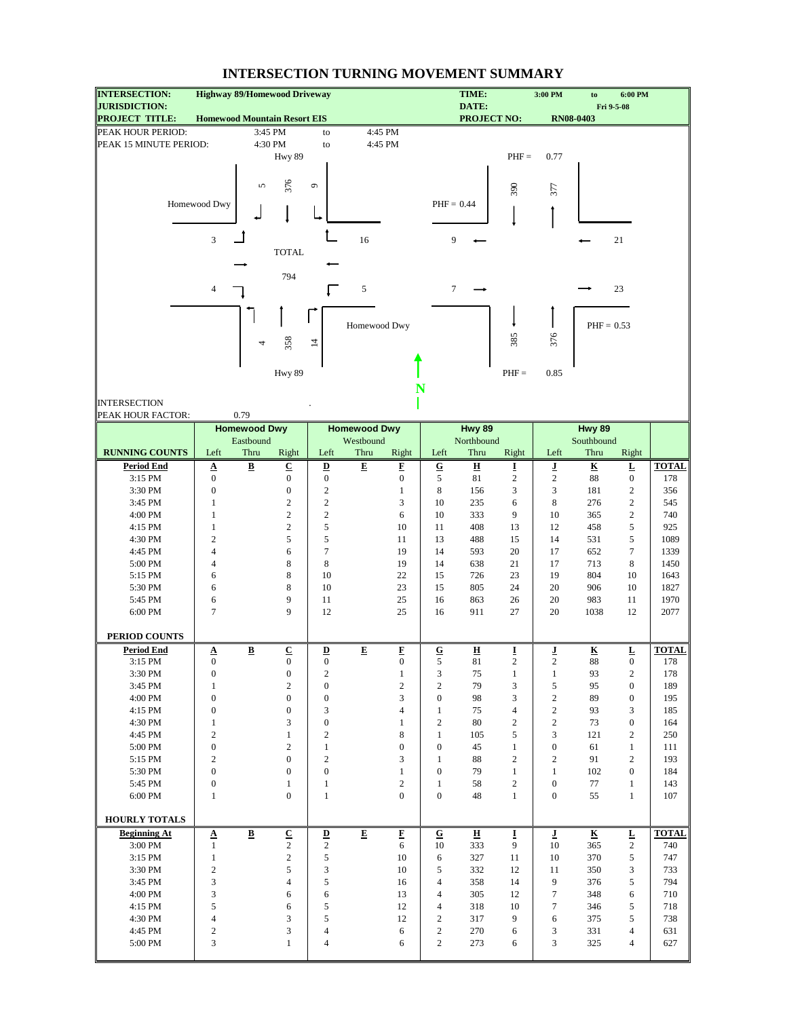| <b>INTERSECTION:</b>                          | <b>Highway 89/Homewood Driveway</b> |                         |                                          |                                     |                     |                   |                  | TIME:                         |                     | 3:00 PM                 | to                      | 6:00 PM           |                     |
|-----------------------------------------------|-------------------------------------|-------------------------|------------------------------------------|-------------------------------------|---------------------|-------------------|------------------|-------------------------------|---------------------|-------------------------|-------------------------|-------------------|---------------------|
| <b>JURISDICTION:</b><br><b>PROJECT TITLE:</b> | <b>Homewood Mountain Resort EIS</b> |                         |                                          |                                     |                     |                   |                  | DATE:<br><b>PROJECT NO:</b>   |                     |                         | <b>RN08-0403</b>        | Fri 9-5-08        |                     |
| PEAK HOUR PERIOD:                             |                                     |                         | 3:45 PM                                  | to                                  |                     | 4:45 PM           |                  |                               |                     |                         |                         |                   |                     |
| PEAK 15 MINUTE PERIOD:                        |                                     |                         | 4:30 PM                                  | to                                  |                     | 4:45 PM           |                  |                               |                     |                         |                         |                   |                     |
|                                               |                                     |                         | Hwy 89                                   |                                     |                     |                   |                  |                               | $PHF =$             | 0.77                    |                         |                   |                     |
|                                               |                                     |                         |                                          |                                     |                     |                   |                  |                               |                     |                         |                         |                   |                     |
|                                               |                                     |                         |                                          |                                     |                     |                   |                  |                               |                     |                         |                         |                   |                     |
|                                               |                                     | 5                       | 376                                      | $\mathfrak{S}$                      |                     |                   |                  |                               | 390                 | 377                     |                         |                   |                     |
|                                               | Homewood Dwy                        |                         |                                          |                                     |                     |                   | $PHF = 0.44$     |                               |                     |                         |                         |                   |                     |
|                                               |                                     |                         |                                          |                                     |                     |                   |                  |                               |                     |                         |                         |                   |                     |
|                                               |                                     |                         |                                          |                                     |                     |                   |                  |                               |                     |                         |                         |                   |                     |
|                                               | 3                                   |                         |                                          |                                     | 16                  |                   | 9                |                               |                     |                         |                         | 21                |                     |
|                                               |                                     |                         | <b>TOTAL</b>                             |                                     |                     |                   |                  |                               |                     |                         |                         |                   |                     |
|                                               |                                     |                         |                                          |                                     |                     |                   |                  |                               |                     |                         |                         |                   |                     |
|                                               |                                     |                         | 794                                      |                                     |                     |                   |                  |                               |                     |                         |                         |                   |                     |
|                                               | 4                                   |                         |                                          |                                     | $\sqrt{5}$          |                   | 7                |                               |                     |                         |                         | 23                |                     |
|                                               |                                     |                         |                                          |                                     |                     |                   |                  |                               |                     |                         |                         |                   |                     |
|                                               |                                     |                         |                                          |                                     | Homewood Dwy        |                   |                  |                               |                     |                         | $PHF = 0.53$            |                   |                     |
|                                               |                                     |                         |                                          |                                     |                     |                   |                  |                               | 385                 | 376                     |                         |                   |                     |
|                                               |                                     | 4                       | 358                                      | $\overline{4}$                      |                     |                   |                  |                               |                     |                         |                         |                   |                     |
|                                               |                                     |                         |                                          |                                     |                     |                   |                  |                               |                     |                         |                         |                   |                     |
|                                               |                                     |                         | Hwy 89                                   |                                     |                     |                   |                  |                               | $PHF =$             | 0.85                    |                         |                   |                     |
|                                               |                                     |                         |                                          |                                     |                     | N                 |                  |                               |                     |                         |                         |                   |                     |
| <b>INTERSECTION</b>                           |                                     |                         |                                          |                                     |                     |                   |                  |                               |                     |                         |                         |                   |                     |
| PEAK HOUR FACTOR:                             |                                     | 0.79                    |                                          |                                     |                     |                   |                  |                               |                     |                         |                         |                   |                     |
|                                               |                                     | <b>Homewood Dwy</b>     |                                          |                                     | <b>Homewood Dwy</b> |                   |                  | Hwy 89                        |                     |                         | Hwy 89                  |                   |                     |
|                                               |                                     | Eastbound               |                                          |                                     | Westbound           |                   |                  | Northbound                    |                     |                         | Southbound              |                   |                     |
| <b>RUNNING COUNTS</b>                         | Left                                | Thru                    | Right                                    | Left                                | Thru                | Right             | Left             | Thru                          | Right               | Left                    | Thru                    | Right             |                     |
| <b>Period End</b>                             | $\Delta$                            | $\overline{\mathbf{B}}$ | $\underline{\mathbf{C}}$                 | $\underline{\mathbf{D}}$            | $\overline{E}$      | E                 | $\overline{G}$   | $\overline{\mathbf{H}}$       | Ī                   | ī                       | $\overline{\mathbf{K}}$ | Ŀ                 | <b>TOTAL</b>        |
| 3:15 PM                                       | $\overline{0}$                      |                         | $\boldsymbol{0}$                         | $\boldsymbol{0}$                    |                     | $\boldsymbol{0}$  | 5                | 81                            | $\overline{c}$      | $\sqrt{2}$              | 88                      | $\boldsymbol{0}$  | 178                 |
| 3:30 PM                                       | $\boldsymbol{0}$                    |                         | $\boldsymbol{0}$                         | $\sqrt{2}$                          |                     | $\mathbf{1}$      | 8                | 156                           | 3                   | 3                       | 181                     | $\sqrt{2}$        | 356                 |
| 3:45 PM                                       | 1                                   |                         | $\mathbf{2}$                             | $\overline{c}$                      |                     | 3                 | 10               | 235                           | 6                   | 8                       | 276                     | $\mathfrak{2}$    | 545                 |
| 4:00 PM                                       | 1                                   |                         | $\overline{c}$                           | $\sqrt{2}$                          |                     | 6                 | 10               | 333                           | 9                   | 10                      | 365                     | $\overline{2}$    | 740                 |
| 4:15 PM                                       | 1                                   |                         | $\boldsymbol{2}$                         | 5                                   |                     | 10                | 11               | 408                           | 13                  | 12                      | 458                     | $\sqrt{5}$        | 925                 |
| 4:30 PM                                       | $\overline{c}$                      |                         | 5                                        | 5                                   |                     | 11                | 13               | 488                           | 15                  | 14                      | 531                     | 5                 | 1089                |
| 4:45 PM                                       | 4                                   |                         | 6                                        | $\overline{7}$                      |                     | 19                | 14               | 593                           | 20                  | 17                      | 652                     | $\tau$            | 1339                |
| 5:00 PM                                       | $\overline{4}$                      |                         | 8                                        | 8                                   |                     | 19                | 14               | 638                           | 21                  | 17                      | 713                     | 8                 | 1450                |
| 5:15 PM                                       | 6                                   |                         | 8                                        | 10                                  |                     | 22                | 15               | 726                           | 23                  | 19                      | 804                     | 10                | 1643                |
| 5:30 PM                                       | 6                                   |                         | 8                                        | 10                                  |                     | 23                | 15               | 805                           | 24                  | 20                      | 906                     | 10                | 1827                |
| 5:45 PM                                       | 6                                   |                         | 9                                        | 11                                  |                     | 25                | 16               | 863                           | 26                  | 20                      | 983                     | 11                | 1970                |
| 6:00 PM                                       | $\overline{7}$                      |                         | 9                                        | 12                                  |                     | 25                | 16               | 911                           | 27                  | 20                      | 1038                    | 12                | 2077                |
|                                               |                                     |                         |                                          |                                     |                     |                   |                  |                               |                     |                         |                         |                   |                     |
| PERIOD COUNTS                                 |                                     |                         |                                          |                                     |                     |                   |                  |                               |                     |                         |                         |                   |                     |
| <b>Period End</b><br>3:15 PM                  | $\Delta$<br>$\boldsymbol{0}$        | $\overline{\mathbf{B}}$ | $\underline{\mathbf{C}}$<br>$\mathbf{0}$ | $\overline{\mathbf{D}}$<br>$\bf{0}$ | E                   | F<br>$\mathbf{0}$ | ${\bf G}$<br>5   | $\overline{\mathbf{H}}$<br>81 | I<br>$\overline{c}$ | L<br>$\overline{c}$     | ${\bf K}$<br>88         | L<br>$\mathbf{0}$ | <b>TOTAL</b><br>178 |
| 3:30 PM                                       | $\boldsymbol{0}$                    |                         | $\boldsymbol{0}$                         | $\overline{2}$                      |                     | $\mathbf{1}$      | 3                | 75                            | $\mathbf{1}$        | $\mathbf{1}$            | 93                      | $\boldsymbol{2}$  | 178                 |
| 3:45 PM                                       | $\,1$                               |                         | $\sqrt{2}$                               | $\boldsymbol{0}$                    |                     | $\sqrt{2}$        | $\overline{c}$   | 79                            | 3                   | 5                       | 95                      | $\bf{0}$          | 189                 |
| 4:00 PM                                       | $\boldsymbol{0}$                    |                         | $\boldsymbol{0}$                         | $\boldsymbol{0}$                    |                     | 3                 | $\boldsymbol{0}$ | 98                            | 3                   | $\sqrt{2}$              | 89                      | $\boldsymbol{0}$  | 195                 |
| 4:15 PM                                       | $\boldsymbol{0}$                    |                         | $\boldsymbol{0}$                         | 3                                   |                     | $\overline{4}$    | $\mathbf{1}$     | 75                            | $\overline{4}$      | $\sqrt{2}$              | 93                      | 3                 | 185                 |
| 4:30 PM                                       | $\mathbf{1}$                        |                         | 3                                        | $\boldsymbol{0}$                    |                     | $\mathbf{1}$      | $\overline{c}$   | 80                            | $\overline{c}$      | $\sqrt{2}$              | 73                      | $\boldsymbol{0}$  | 164                 |
| 4:45 PM                                       | $\overline{2}$                      |                         | $\mathbf{1}$                             | $\overline{2}$                      |                     | 8                 | $\mathbf{1}$     | 105                           | 5                   | 3                       | 121                     | $\sqrt{2}$        | 250                 |
| 5:00 PM                                       | $\boldsymbol{0}$                    |                         | $\overline{2}$                           | $\mathbf{1}$                        |                     | $\mathbf{0}$      | $\boldsymbol{0}$ | 45                            | $\mathbf{1}$        | $\boldsymbol{0}$        | 61                      | $\mathbf{1}$      | 111                 |
| 5:15 PM                                       | $\overline{2}$                      |                         | $\boldsymbol{0}$                         | $\overline{2}$                      |                     | 3                 | $\mathbf{1}$     | 88                            | $\mathfrak{2}$      | $\sqrt{2}$              | 91                      | $\sqrt{2}$        | 193                 |
| 5:30 PM                                       | $\boldsymbol{0}$                    |                         | $\boldsymbol{0}$                         | $\boldsymbol{0}$                    |                     | $\mathbf{1}$      | $\boldsymbol{0}$ | 79                            | $\mathbf{1}$        | $\mathbf{1}$            | 102                     | $\bf{0}$          | 184                 |
| 5:45 PM                                       | $\boldsymbol{0}$                    |                         | $\mathbf{1}$                             | $\mathbf{1}$                        |                     | $\overline{2}$    | $\mathbf{1}$     | 58                            | $\overline{c}$      | $\boldsymbol{0}$        | 77                      | $\mathbf{1}$      | 143                 |
| 6:00 PM                                       | $\mathbf{1}$                        |                         | $\boldsymbol{0}$                         | $\mathbf{1}$                        |                     | $\mathbf{0}$      | $\boldsymbol{0}$ | 48                            | $\mathbf{1}$        | $\boldsymbol{0}$        | 55                      | $\mathbf{1}$      | 107                 |
|                                               |                                     |                         |                                          |                                     |                     |                   |                  |                               |                     |                         |                         |                   |                     |
| <b>HOURLY TOTALS</b>                          |                                     |                         |                                          |                                     |                     |                   |                  |                               |                     |                         |                         |                   |                     |
| <b>Beginning At</b>                           | Δ                                   | $\overline{\mathbf{B}}$ | $\underline{\mathbf{C}}$                 | $\overline{\mathbf{D}}$             | E                   | E                 | ${\bf G}$        | н                             | Ī                   | $\overline{\mathbf{I}}$ | $\overline{\mathbf{K}}$ | L                 | <b>TOTAL</b>        |
| 3:00 PM                                       | $\mathbf{1}$                        |                         | $\overline{c}$                           | $\overline{c}$                      |                     | 6                 | 10               | 333                           | 9                   | 10                      | 365                     | $\overline{2}$    | 740                 |
| 3:15 PM                                       | $\mathbf{1}$                        |                         | $\sqrt{2}$                               | $\sqrt{5}$                          |                     | 10                | 6                | 327                           | 11                  | 10                      | 370                     | 5                 | 747                 |
| 3:30 PM                                       | $\sqrt{2}$                          |                         | 5                                        | 3                                   |                     | 10                | 5                | 332                           | 12                  | 11                      | 350                     | 3                 | 733                 |
| 3:45 PM                                       | 3                                   |                         | $\overline{4}$                           | 5                                   |                     | 16                | 4                | 358                           | 14                  | 9                       | 376                     | 5                 | 794                 |
| 4:00 PM                                       | 3                                   |                         | 6                                        | 6                                   |                     | 13                | $\overline{4}$   | 305                           | 12                  | $\tau$                  | 348                     | 6                 | 710                 |
| 4:15 PM                                       | 5                                   |                         | 6                                        | $\sqrt{5}$                          |                     | 12                | 4                | 318                           | 10                  | 7                       | 346                     | $\sqrt{5}$        | 718                 |
| 4:30 PM                                       | $\overline{4}$                      |                         | 3                                        | 5                                   |                     | 12                | $\overline{c}$   | 317                           | 9                   | 6                       | 375                     | 5                 | 738                 |
| 4:45 PM                                       | $\sqrt{2}$                          |                         | 3                                        | $\overline{4}$                      |                     | 6                 | $\sqrt{2}$       | 270                           | 6                   | 3                       | 331                     | $\overline{4}$    | 631                 |
| 5:00 PM                                       | 3                                   |                         | $\mathbf{1}$                             | $\overline{4}$                      |                     | 6                 | $\overline{c}$   | 273                           | 6                   | 3                       | 325                     | 4                 | 627                 |
|                                               |                                     |                         |                                          |                                     |                     |                   |                  |                               |                     |                         |                         |                   |                     |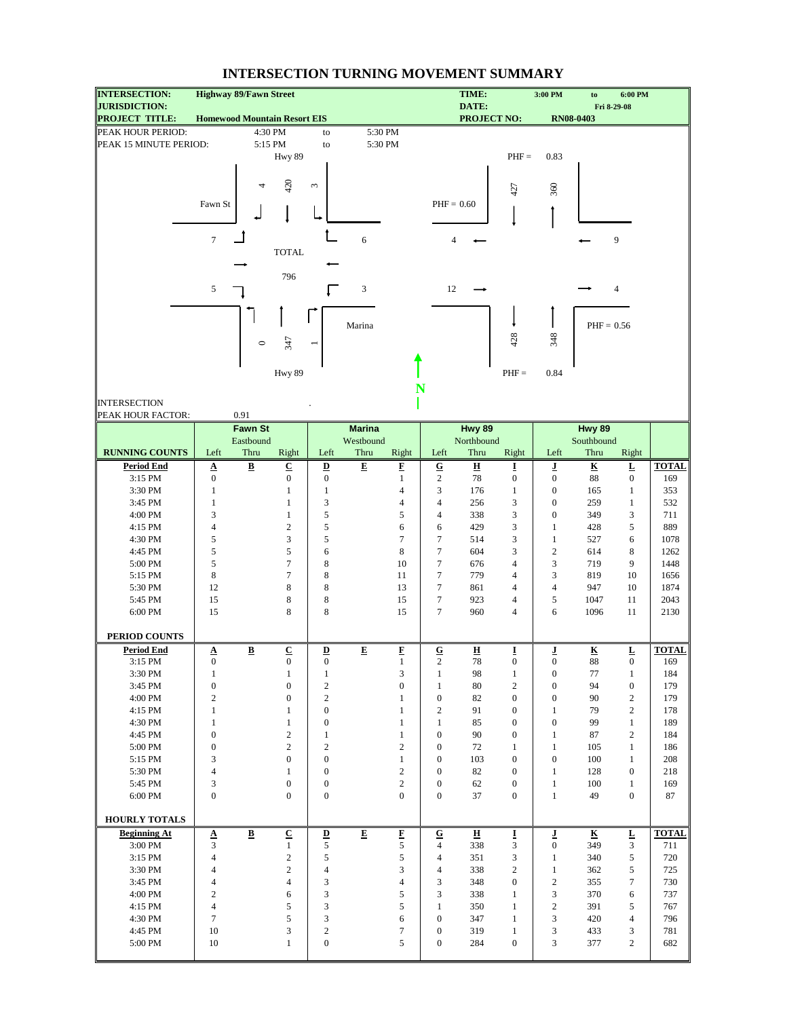| <b>INTERSECTION:</b>                          | <b>Highway 89/Fawn Street</b>                |                          |                                |                                              |                |                                  |                                  | TIME:                         |                                      | 3:00 PM                              | to                            | 6:00 PM                          |              |
|-----------------------------------------------|----------------------------------------------|--------------------------|--------------------------------|----------------------------------------------|----------------|----------------------------------|----------------------------------|-------------------------------|--------------------------------------|--------------------------------------|-------------------------------|----------------------------------|--------------|
| <b>JURISDICTION:</b><br><b>PROJECT TITLE:</b> | <b>Homewood Mountain Resort EIS</b>          |                          |                                |                                              |                |                                  |                                  | DATE:<br><b>PROJECT NO:</b>   |                                      |                                      | <b>RN08-0403</b>              | Fri 8-29-08                      |              |
| PEAK HOUR PERIOD:                             |                                              |                          | 4:30 PM                        | to                                           |                | 5:30 PM                          |                                  |                               |                                      |                                      |                               |                                  |              |
| PEAK 15 MINUTE PERIOD:                        |                                              |                          | 5:15 PM                        | to                                           |                | 5:30 PM                          |                                  |                               |                                      |                                      |                               |                                  |              |
|                                               |                                              |                          | Hwy 89                         |                                              |                |                                  |                                  |                               | $PHF =$                              | 0.83                                 |                               |                                  |              |
|                                               |                                              |                          |                                |                                              |                |                                  |                                  |                               |                                      |                                      |                               |                                  |              |
|                                               |                                              | 4                        | 420                            | $\sim$                                       |                |                                  |                                  |                               |                                      |                                      |                               |                                  |              |
|                                               |                                              |                          |                                |                                              |                |                                  |                                  |                               | 427                                  | 360                                  |                               |                                  |              |
|                                               | Fawn St                                      |                          |                                |                                              |                |                                  | $PHF = 0.60$                     |                               |                                      |                                      |                               |                                  |              |
|                                               |                                              |                          |                                |                                              |                |                                  |                                  |                               |                                      |                                      |                               |                                  |              |
|                                               | $\overline{7}$                               |                          |                                |                                              | 6              |                                  | 4                                |                               |                                      |                                      |                               | 9                                |              |
|                                               |                                              |                          | <b>TOTAL</b>                   |                                              |                |                                  |                                  |                               |                                      |                                      |                               |                                  |              |
|                                               |                                              |                          |                                |                                              |                |                                  |                                  |                               |                                      |                                      |                               |                                  |              |
|                                               |                                              |                          | 796                            |                                              |                |                                  |                                  |                               |                                      |                                      |                               |                                  |              |
|                                               | 5                                            |                          |                                |                                              | 3              |                                  | 12                               |                               |                                      |                                      |                               | $\overline{4}$                   |              |
|                                               |                                              |                          |                                |                                              |                |                                  |                                  |                               |                                      |                                      |                               |                                  |              |
|                                               |                                              |                          |                                |                                              |                |                                  |                                  |                               |                                      |                                      |                               |                                  |              |
|                                               |                                              |                          |                                |                                              | Marina         |                                  |                                  |                               |                                      |                                      | $PHF = 0.56$                  |                                  |              |
|                                               |                                              | $\circ$                  | 347                            |                                              |                |                                  |                                  |                               | 428                                  | 348                                  |                               |                                  |              |
|                                               |                                              |                          |                                |                                              |                |                                  |                                  |                               |                                      |                                      |                               |                                  |              |
|                                               |                                              |                          | Hwy 89                         |                                              |                |                                  |                                  |                               | $PHF =$                              | 0.84                                 |                               |                                  |              |
|                                               |                                              |                          |                                |                                              |                |                                  | N                                |                               |                                      |                                      |                               |                                  |              |
| <b>INTERSECTION</b>                           |                                              |                          |                                |                                              |                |                                  |                                  |                               |                                      |                                      |                               |                                  |              |
| PEAK HOUR FACTOR:                             |                                              | 0.91                     |                                |                                              |                |                                  |                                  |                               |                                      |                                      |                               |                                  |              |
|                                               |                                              | <b>Fawn St</b>           |                                |                                              | <b>Marina</b>  |                                  |                                  | Hwy 89                        |                                      |                                      | Hwy 89                        |                                  |              |
|                                               |                                              | Eastbound                |                                |                                              | Westbound      |                                  |                                  | Northbound                    |                                      |                                      | Southbound                    |                                  |              |
| <b>RUNNING COUNTS</b>                         | Left                                         | Thru                     | Right                          | Left                                         | Thru           | Right                            | Left                             | Thru                          | Right                                | Left                                 | Thru                          | Right                            |              |
| <b>Period End</b>                             | $\Delta$                                     | $\underline{\mathbf{B}}$ | $\underline{\mathbf{C}}$       | $\underline{\mathbf{D}}$                     | $\overline{E}$ | E                                | $\overline{\mathbf{G}}$          | $\underline{\mathbf{H}}$      | Ī                                    | ı                                    | $\underline{\mathbf{K}}$      | $\underline{\mathbf{L}}$         | <b>TOTAL</b> |
| 3:15 PM                                       | $\boldsymbol{0}$                             |                          | $\boldsymbol{0}$               | $\boldsymbol{0}$                             |                | $\mathbf{1}$                     | $\sqrt{2}$                       | 78                            | $\boldsymbol{0}$                     | $\boldsymbol{0}$                     | 88                            | $\boldsymbol{0}$                 | 169          |
| 3:30 PM                                       | $\mathbf{1}$                                 |                          | 1                              | $\mathbf{1}$                                 |                | $\overline{4}$                   | 3<br>$\overline{4}$              | 176                           | $\mathbf{1}$<br>3                    | $\boldsymbol{0}$                     | 165                           | $\mathbf{1}$                     | 353          |
| 3:45 PM<br>4:00 PM                            | $\mathbf{1}$<br>3                            |                          | $\mathbf{1}$<br>$\mathbf{1}$   | 3<br>5                                       |                | $\overline{4}$<br>5              | $\overline{4}$                   | 256<br>338                    | 3                                    | $\boldsymbol{0}$<br>$\boldsymbol{0}$ | 259<br>349                    | $\mathbf{1}$<br>3                | 532<br>711   |
| 4:15 PM                                       | $\overline{4}$                               |                          | $\sqrt{2}$                     | 5                                            |                | 6                                | 6                                | 429                           | 3                                    | $\mathbf{1}$                         | 428                           | $\sqrt{5}$                       | 889          |
| 4:30 PM                                       | 5                                            |                          | 3                              | 5                                            |                | $\tau$                           | $\tau$                           | 514                           | 3                                    | $\mathbf{1}$                         | 527                           | 6                                | 1078         |
| 4:45 PM                                       | 5                                            |                          | 5                              | 6                                            |                | 8                                | $\tau$                           | 604                           | 3                                    | $\boldsymbol{2}$                     | 614                           | 8                                | 1262         |
| 5:00 PM                                       | 5                                            |                          | $\tau$                         | 8                                            |                | 10                               | $\boldsymbol{7}$                 | 676                           | $\overline{4}$                       | 3                                    | 719                           | 9                                | 1448         |
| 5:15 PM                                       | $\,$ 8 $\,$                                  |                          | $\tau$                         | 8                                            |                | 11                               | $\tau$                           | 779                           | $\overline{4}$                       | 3                                    | 819                           | 10                               | 1656         |
| 5:30 PM                                       | 12                                           |                          | 8                              | 8                                            |                | 13                               | $\tau$                           | 861                           | $\overline{4}$                       | $\overline{4}$                       | 947                           | 10                               | 1874         |
| 5:45 PM                                       | 15                                           |                          | 8                              | 8                                            |                | 15                               | $\tau$                           | 923                           | $\overline{4}$                       | 5                                    | 1047                          | 11                               | 2043         |
| 6:00 PM                                       | 15                                           |                          | 8                              | 8                                            |                | 15                               | $\tau$                           | 960                           | $\overline{4}$                       | 6                                    | 1096                          | 11                               | 2130         |
| PERIOD COUNTS                                 |                                              |                          |                                |                                              |                |                                  |                                  |                               |                                      |                                      |                               |                                  |              |
| <b>Period End</b>                             |                                              |                          | $\underline{\mathbf{C}}$       |                                              | $\mathbf E$    | $\mathbf F$                      |                                  |                               |                                      |                                      |                               |                                  | <b>TOTAL</b> |
| 3:15 PM                                       | $\underline{\mathbf{A}}$<br>$\boldsymbol{0}$ | $\, {\bf B} \,$          | $\boldsymbol{0}$               | $\underline{\mathbf{D}}$<br>$\boldsymbol{0}$ |                | $\mathbf{1}$                     | ${\bf G}$<br>$\overline{c}$      | $\overline{\mathbf{H}}$<br>78 | I<br>$\boldsymbol{0}$                | ſ<br>$\boldsymbol{0}$                | $\overline{\textbf{K}}$<br>88 | L<br>$\boldsymbol{0}$            | 169          |
| 3:30 PM                                       | $\mathbf{1}$                                 |                          | $\mathbf{1}$                   | $\mathbf{1}$                                 |                | 3                                | $\mathbf{1}$                     | 98                            | $\mathbf{1}$                         | $\boldsymbol{0}$                     | 77                            | $\mathbf{1}$                     | 184          |
| 3:45 PM                                       | $\boldsymbol{0}$                             |                          | $\boldsymbol{0}$               | $\boldsymbol{2}$                             |                | $\boldsymbol{0}$                 | $\mathbf{1}$                     | 80                            | $\mathfrak{2}$                       | $\boldsymbol{0}$                     | 94                            | $\boldsymbol{0}$                 | 179          |
| 4:00 PM                                       | $\overline{c}$                               |                          | $\boldsymbol{0}$               | $\overline{c}$                               |                | $\mathbf{1}$                     | $\boldsymbol{0}$                 | 82                            | $\boldsymbol{0}$                     | $\boldsymbol{0}$                     | 90                            | $\overline{2}$                   | 179          |
| 4:15 PM                                       | $\mathbf{1}$                                 |                          | $\mathbf{1}$                   | $\boldsymbol{0}$                             |                | $\mathbf{1}$                     | $\overline{c}$                   | 91                            | $\boldsymbol{0}$                     | $\mathbf{1}$                         | 79                            | $\overline{2}$                   | 178          |
| 4:30 PM                                       | $\mathbf{1}$                                 |                          | $\mathbf{1}$                   | $\boldsymbol{0}$                             |                | $\mathbf{1}$                     | $\mathbf{1}$                     | 85                            | $\boldsymbol{0}$                     | $\boldsymbol{0}$                     | 99                            | $\mathbf{1}$                     | 189          |
| 4:45 PM                                       | $\boldsymbol{0}$                             |                          | $\sqrt{2}$                     | $\mathbf{1}$                                 |                | $\mathbf{1}$                     | $\mathbf{0}$                     | 90                            | $\mathbf{0}$                         | $\mathbf{1}$                         | 87                            | $\overline{2}$                   | 184          |
| 5:00 PM                                       | $\boldsymbol{0}$<br>3                        |                          | $\sqrt{2}$<br>$\boldsymbol{0}$ | $\overline{c}$<br>$\boldsymbol{0}$           |                | $\overline{c}$                   | $\boldsymbol{0}$                 | 72                            | $\mathbf{1}$                         | $\mathbf{1}$                         | 105                           | $\mathbf{1}$                     | 186          |
| 5:15 PM<br>5:30 PM                            | $\overline{4}$                               |                          | $\mathbf{1}$                   | $\boldsymbol{0}$                             |                | $\mathbf{1}$<br>$\boldsymbol{2}$ | $\boldsymbol{0}$<br>$\mathbf{0}$ | 103<br>82                     | $\boldsymbol{0}$<br>$\boldsymbol{0}$ | $\boldsymbol{0}$<br>$\mathbf{1}$     | 100<br>128                    | $\mathbf{1}$<br>$\boldsymbol{0}$ | 208<br>218   |
| 5:45 PM                                       | 3                                            |                          | $\boldsymbol{0}$               | $\boldsymbol{0}$                             |                | $\overline{c}$                   | $\boldsymbol{0}$                 | 62                            | $\boldsymbol{0}$                     | $\mathbf{1}$                         | 100                           | $\mathbf{1}$                     | 169          |
| 6:00 PM                                       | $\boldsymbol{0}$                             |                          | $\boldsymbol{0}$               | $\boldsymbol{0}$                             |                | $\mathbf{0}$                     | $\boldsymbol{0}$                 | 37                            | $\boldsymbol{0}$                     | $\mathbf{1}$                         | 49                            | $\boldsymbol{0}$                 | 87           |
|                                               |                                              |                          |                                |                                              |                |                                  |                                  |                               |                                      |                                      |                               |                                  |              |
| HOURLY TOTALS                                 |                                              |                          |                                |                                              |                |                                  |                                  |                               |                                      |                                      |                               |                                  |              |
| <b>Beginning At</b>                           | $\Delta$                                     | $\underline{\mathbf{B}}$ | $\overline{\mathbf{C}}$        | $\underline{\mathbf{D}}$                     | $\mathbf E$    | $\overline{\mathbf{F}}$          | $\mathbf G$                      | $\overline{\mathbf{H}}$       | I                                    | ī                                    | $\overline{\textbf{K}}$       | $\overline{\mathbf{L}}$          | <b>TOTAL</b> |
| 3:00 PM                                       | 3                                            |                          | $\mathbf{1}$                   | 5                                            |                | 5                                | $\overline{4}$                   | 338                           | 3                                    | $\boldsymbol{0}$                     | 349                           | 3                                | 711          |
| 3:15 PM                                       | $\overline{4}$                               |                          | $\sqrt{2}$                     | 5                                            |                | 5                                | $\overline{4}$                   | 351                           | 3                                    | $\mathbf{1}$                         | 340                           | 5                                | 720          |
| 3:30 PM                                       | $\overline{4}$                               |                          | $\sqrt{2}$                     | $\overline{4}$                               |                | 3                                | $\overline{4}$                   | 338                           | $\mathfrak{2}$                       | $\mathbf{1}$                         | 362                           | 5                                | 725          |
| 3:45 PM<br>4:00 PM                            | 4<br>$\overline{c}$                          |                          | $\overline{4}$<br>6            | 3<br>3                                       |                | $\overline{4}$<br>5              | 3<br>3                           | 348<br>338                    | $\bf{0}$<br>$\mathbf{1}$             | $\boldsymbol{2}$<br>3                | 355<br>370                    | $\tau$<br>6                      | 730<br>737   |
| 4:15 PM                                       | $\overline{4}$                               |                          | $\sqrt{5}$                     | 3                                            |                | 5                                | $\mathbf{1}$                     | 350                           | $\mathbf{1}$                         | $\boldsymbol{2}$                     | 391                           | 5                                | 767          |
| 4:30 PM                                       | $\tau$                                       |                          | 5                              | 3                                            |                | 6                                | $\boldsymbol{0}$                 | 347                           | $\mathbf{1}$                         | 3                                    | 420                           | $\overline{4}$                   | 796          |
| 4:45 PM                                       | 10                                           |                          | 3                              | $\boldsymbol{2}$                             |                | $\tau$                           | $\boldsymbol{0}$                 | 319                           | $\mathbf{1}$                         | 3                                    | 433                           | 3                                | 781          |
| 5:00 PM                                       | 10                                           |                          | $\mathbf{1}$                   | $\boldsymbol{0}$                             |                | 5                                | $\boldsymbol{0}$                 | 284                           | $\bf{0}$                             | 3                                    | 377                           | $\overline{c}$                   | 682          |
|                                               |                                              |                          |                                |                                              |                |                                  |                                  |                               |                                      |                                      |                               |                                  |              |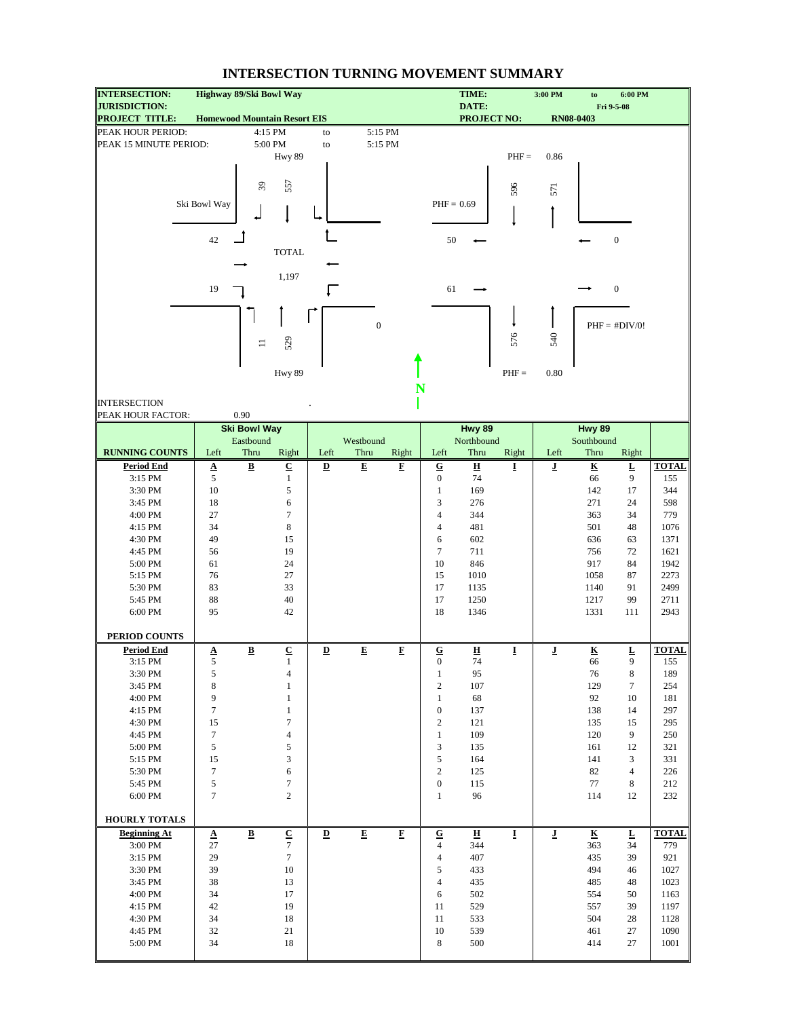| <b>INTERSECTION:</b>                          | Highway 89/Ski Bowl Way |                          |                                     |                         |                         |                         |                         | TIME:                       |         | 3:00 PM                 | to                      | 6:00 PM                  |              |
|-----------------------------------------------|-------------------------|--------------------------|-------------------------------------|-------------------------|-------------------------|-------------------------|-------------------------|-----------------------------|---------|-------------------------|-------------------------|--------------------------|--------------|
| <b>JURISDICTION:</b><br><b>PROJECT TITLE:</b> |                         |                          | <b>Homewood Mountain Resort EIS</b> |                         |                         |                         |                         | DATE:<br><b>PROJECT NO:</b> |         |                         | RN08-0403               | Fri 9-5-08               |              |
| PEAK HOUR PERIOD:                             |                         |                          | 4:15 PM                             | to                      |                         | 5:15 PM                 |                         |                             |         |                         |                         |                          |              |
| PEAK 15 MINUTE PERIOD:                        |                         |                          | 5:00 PM                             | to                      | 5:15 PM                 |                         |                         |                             |         |                         |                         |                          |              |
|                                               |                         |                          | Hwy 89                              |                         |                         |                         |                         |                             | $PHF =$ | 0.86                    |                         |                          |              |
|                                               |                         |                          |                                     |                         |                         |                         |                         |                             |         |                         |                         |                          |              |
|                                               |                         |                          |                                     |                         |                         |                         |                         |                             |         |                         |                         |                          |              |
|                                               |                         | $\mathcal{E}$            | 557                                 |                         |                         |                         |                         |                             | 596     | 571                     |                         |                          |              |
|                                               | Ski Bowl Way            |                          |                                     |                         |                         |                         | $PHF = 0.69$            |                             |         |                         |                         |                          |              |
|                                               |                         |                          |                                     |                         |                         |                         |                         |                             |         |                         |                         |                          |              |
|                                               |                         |                          |                                     |                         |                         |                         |                         |                             |         |                         |                         |                          |              |
|                                               | 42                      |                          |                                     |                         |                         |                         | 50                      |                             |         |                         |                         | $\boldsymbol{0}$         |              |
|                                               |                         |                          | <b>TOTAL</b>                        |                         |                         |                         |                         |                             |         |                         |                         |                          |              |
|                                               |                         |                          |                                     |                         |                         |                         |                         |                             |         |                         |                         |                          |              |
|                                               | 19                      |                          | 1,197                               |                         |                         |                         |                         |                             |         |                         |                         | $\boldsymbol{0}$         |              |
|                                               |                         |                          |                                     |                         |                         |                         | 61                      |                             |         |                         |                         |                          |              |
|                                               |                         |                          |                                     |                         |                         |                         |                         |                             |         |                         |                         |                          |              |
|                                               |                         |                          |                                     |                         | $\boldsymbol{0}$        |                         |                         |                             |         |                         |                         | $PHF = #DIV/0!$          |              |
|                                               |                         |                          |                                     |                         |                         |                         |                         |                             | 576     | 540                     |                         |                          |              |
|                                               |                         | $\equiv$                 | 529                                 |                         |                         |                         |                         |                             |         |                         |                         |                          |              |
|                                               |                         |                          |                                     |                         |                         |                         |                         |                             |         |                         |                         |                          |              |
|                                               |                         |                          | Hwy 89                              |                         |                         |                         |                         |                             | $PHF =$ | 0.80                    |                         |                          |              |
|                                               |                         |                          |                                     |                         |                         | N                       |                         |                             |         |                         |                         |                          |              |
| <b>INTERSECTION</b>                           |                         |                          |                                     |                         |                         |                         |                         |                             |         |                         |                         |                          |              |
| PEAK HOUR FACTOR:                             |                         | 0.90                     |                                     |                         |                         |                         |                         |                             |         |                         |                         |                          |              |
|                                               |                         | <b>Ski Bowl Way</b>      |                                     |                         |                         |                         |                         | Hwy 89                      |         |                         | Hwy 89                  |                          |              |
|                                               |                         | Eastbound                |                                     |                         | Westbound               |                         |                         | Northbound                  |         |                         | Southbound              |                          |              |
| <b>RUNNING COUNTS</b>                         | Left                    | Thru                     | Right                               | Left                    | Thru                    | Right                   | Left                    | Thru                        | Right   | Left                    | Thru                    | Right                    |              |
| <b>Period End</b>                             |                         | $\overline{\mathbf{B}}$  | $\overline{C}$                      | $\overline{\mathbf{D}}$ | $\overline{\mathbf{E}}$ | $\mathbf{F}$            | $\overline{\mathbf{G}}$ | $\overline{\mathbf{H}}$     | Ī       | ī                       | $\overline{\mathbf{K}}$ | $\underline{\mathbf{L}}$ | <b>TOTAL</b> |
| 3:15 PM                                       | $\frac{A}{5}$           |                          | $\mathbf{1}$                        |                         |                         |                         | $\boldsymbol{0}$        | 74                          |         |                         | 66                      | 9                        | 155          |
| 3:30 PM                                       | 10                      |                          | $\sqrt{5}$                          |                         |                         |                         | $\mathbf{1}$            | 169                         |         |                         | 142                     | 17                       | 344          |
| 3:45 PM                                       | 18                      |                          | 6                                   |                         |                         |                         | 3                       | 276                         |         |                         | 271                     | 24                       | 598          |
| 4:00 PM                                       | 27                      |                          | $\tau$                              |                         |                         |                         | $\overline{4}$          | 344                         |         |                         | 363                     | 34                       | 779          |
| 4:15 PM                                       | 34                      |                          | 8                                   |                         |                         |                         | $\overline{4}$          | 481                         |         |                         | 501                     | 48                       | 1076         |
| 4:30 PM                                       | 49                      |                          | 15                                  |                         |                         |                         | 6                       | 602                         |         |                         | 636                     | 63                       | 1371         |
| 4:45 PM                                       | 56                      |                          | 19                                  |                         |                         |                         | $\tau$                  | 711                         |         |                         | 756                     | 72                       | 1621         |
| 5:00 PM                                       | 61                      |                          | 24                                  |                         |                         |                         | 10                      | 846                         |         |                         | 917                     | 84                       | 1942         |
| 5:15 PM<br>5:30 PM                            | 76<br>83                |                          | 27<br>33                            |                         |                         |                         | 15<br>17                | 1010<br>1135                |         |                         | 1058<br>1140            | 87<br>91                 | 2273<br>2499 |
| 5:45 PM                                       | 88                      |                          | 40                                  |                         |                         |                         | 17                      | 1250                        |         |                         | 1217                    | 99                       | 2711         |
| 6:00 PM                                       | 95                      |                          | 42                                  |                         |                         |                         | 18                      | 1346                        |         |                         | 1331                    | 111                      | 2943         |
|                                               |                         |                          |                                     |                         |                         |                         |                         |                             |         |                         |                         |                          |              |
| PERIOD COUNTS                                 |                         |                          |                                     |                         |                         |                         |                         |                             |         |                         |                         |                          |              |
| <b>Period End</b>                             | $\Delta$                | $\underline{\mathbf{B}}$ | ${\bf C}$                           | $\mathbf{D}$            | E                       | F                       | ${\bf G}$               | $\overline{\mathbf{H}}$     | I       | $\overline{\mathbf{J}}$ | $\overline{\textbf{K}}$ | L                        | <b>TOTAL</b> |
| 3:15 PM                                       | $\sqrt{5}$              |                          | 1                                   |                         |                         |                         | $\mathbf{0}$            | 74                          |         |                         | 66                      | 9                        | 155          |
| 3:30 PM                                       | 5                       |                          | 4                                   |                         |                         |                         | $\mathbf{1}$            | 95                          |         |                         | 76                      | $\,8\,$                  | 189          |
| 3:45 PM                                       | 8                       |                          | $\mathbf{1}$                        |                         |                         |                         | $\sqrt{2}$              | 107                         |         |                         | 129                     | $\tau$                   | 254          |
| 4:00 PM                                       | 9                       |                          | $\mathbf{1}$                        |                         |                         |                         | $\mathbf{1}$            | 68                          |         |                         | 92                      | 10                       | 181          |
| 4:15 PM                                       | $\tau$                  |                          | $\,1$                               |                         |                         |                         | $\boldsymbol{0}$        | 137                         |         |                         | 138                     | 14                       | 297          |
| 4:30 PM                                       | 15                      |                          | $\tau$                              |                         |                         |                         | $\sqrt{2}$              | 121                         |         |                         | 135                     | 15                       | 295          |
| 4:45 PM                                       | $\tau$                  |                          | $\overline{4}$                      |                         |                         |                         | $\mathbf{1}$            | 109                         |         |                         | 120                     | 9                        | 250          |
| 5:00 PM                                       | $\sqrt{5}$              |                          | $\sqrt{5}$                          |                         |                         |                         | 3                       | 135                         |         |                         | 161                     | 12                       | 321          |
| 5:15 PM                                       | 15                      |                          | $\ensuremath{\mathfrak{Z}}$         |                         |                         |                         | 5                       | 164                         |         |                         | 141                     | 3                        | 331          |
| 5:30 PM                                       | $\tau$                  |                          | 6                                   |                         |                         |                         | $\overline{c}$          | 125                         |         |                         | 82                      | $\overline{4}$           | 226          |
| 5:45 PM                                       | 5                       |                          | $\boldsymbol{7}$                    |                         |                         |                         | $\boldsymbol{0}$        | 115                         |         |                         | 77                      | 8                        | 212          |
| 6:00 PM                                       | $\tau$                  |                          | $\overline{c}$                      |                         |                         |                         | $\mathbf{1}$            | 96                          |         |                         | 114                     | 12                       | 232          |
| <b>HOURLY TOTALS</b>                          |                         |                          |                                     |                         |                         |                         |                         |                             |         |                         |                         |                          |              |
| <b>Beginning At</b>                           |                         | $\underline{\mathbf{B}}$ | $\overline{\mathbf{C}}$             | $\overline{\mathbf{D}}$ | $\overline{\mathbf{E}}$ | $\overline{\mathbf{F}}$ | ${\bf G}$               | н                           | I       | $\bf J$                 | $\overline{\textbf{K}}$ | $\overline{\mathbf{r}}$  | <b>TOTAL</b> |
| 3:00 PM                                       | $\pmb{\Delta}$<br>27    |                          | $\tau$                              |                         |                         |                         | 4                       | 344                         |         |                         | 363                     | 34                       | 779          |
| 3:15 PM                                       | 29                      |                          | $\tau$                              |                         |                         |                         | $\overline{4}$          | 407                         |         |                         | 435                     | 39                       | 921          |
| 3:30 PM                                       | 39                      |                          | 10                                  |                         |                         |                         | 5                       | 433                         |         |                         | 494                     | 46                       | 1027         |
| 3:45 PM                                       | 38                      |                          | 13                                  |                         |                         |                         | $\overline{4}$          | 435                         |         |                         | 485                     | 48                       | 1023         |
| 4:00 PM                                       | 34                      |                          | 17                                  |                         |                         |                         | 6                       | 502                         |         |                         | 554                     | 50                       | 1163         |
| 4:15 PM                                       | 42                      |                          | 19                                  |                         |                         |                         | 11                      | 529                         |         |                         | 557                     | 39                       | 1197         |
| 4:30 PM                                       | 34                      |                          | 18                                  |                         |                         |                         | 11                      | 533                         |         |                         | 504                     | 28                       | 1128         |
| 4:45 PM                                       | 32                      |                          | 21                                  |                         |                         |                         | 10                      | 539                         |         |                         | 461                     | 27                       | 1090         |
| 5:00 PM                                       | 34                      |                          | 18                                  |                         |                         |                         | 8                       | 500                         |         |                         | 414                     | 27                       | 1001         |
|                                               |                         |                          |                                     |                         |                         |                         |                         |                             |         |                         |                         |                          |              |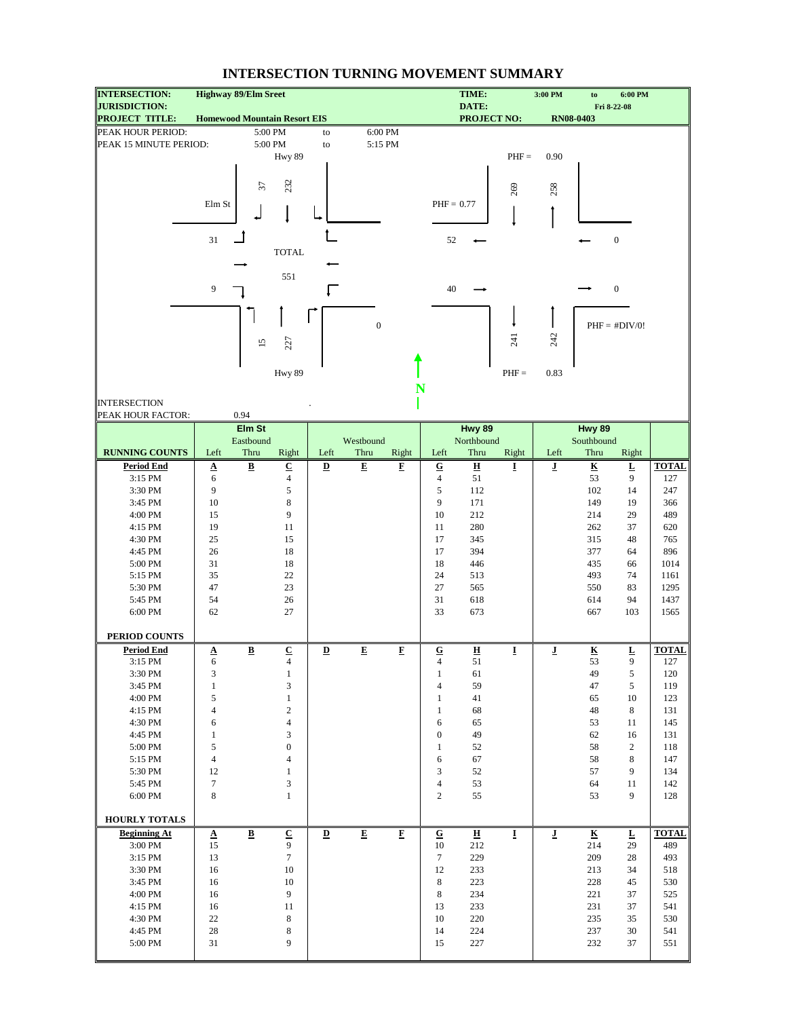| <b>INTERSECTION:</b><br><b>JURISDICTION:</b> | <b>Highway 89/Elm Sreet</b>         |                          |                             |                          |                         |                    |                  | TIME:<br>DATE:          |         | 3:00 PM                 | to                      | 6:00 PM                  |              |
|----------------------------------------------|-------------------------------------|--------------------------|-----------------------------|--------------------------|-------------------------|--------------------|------------------|-------------------------|---------|-------------------------|-------------------------|--------------------------|--------------|
| <b>PROJECT TITLE:</b>                        | <b>Homewood Mountain Resort EIS</b> |                          |                             |                          |                         |                    |                  | <b>PROJECT NO:</b>      |         |                         | <b>RN08-0403</b>        | Fri 8-22-08              |              |
| PEAK HOUR PERIOD:                            |                                     |                          | 5:00 PM                     | to                       |                         | 6:00 PM            |                  |                         |         |                         |                         |                          |              |
| PEAK 15 MINUTE PERIOD:                       |                                     |                          | 5:00 PM                     | ${\rm to}$               |                         | 5:15 PM            |                  |                         |         |                         |                         |                          |              |
|                                              |                                     |                          | Hwy 89                      |                          |                         |                    |                  |                         | $PHF =$ | 0.90                    |                         |                          |              |
|                                              |                                     |                          |                             |                          |                         |                    |                  |                         |         |                         |                         |                          |              |
|                                              |                                     | 57                       | 232                         |                          |                         |                    |                  |                         |         |                         |                         |                          |              |
|                                              |                                     |                          |                             |                          |                         |                    |                  |                         | 269     | 258                     |                         |                          |              |
|                                              | Elm St                              |                          |                             |                          |                         |                    | $PHF = 0.77$     |                         |         |                         |                         |                          |              |
|                                              |                                     |                          |                             |                          |                         |                    |                  |                         |         |                         |                         |                          |              |
|                                              |                                     |                          |                             |                          |                         |                    |                  |                         |         |                         |                         |                          |              |
|                                              | 31                                  |                          |                             |                          |                         |                    | 52               |                         |         |                         |                         | $\boldsymbol{0}$         |              |
|                                              |                                     |                          | <b>TOTAL</b>                |                          |                         |                    |                  |                         |         |                         |                         |                          |              |
|                                              |                                     |                          | 551                         |                          |                         |                    |                  |                         |         |                         |                         |                          |              |
|                                              | 9                                   |                          |                             |                          |                         |                    | 40               |                         |         |                         |                         | $\boldsymbol{0}$         |              |
|                                              |                                     |                          |                             |                          |                         |                    |                  |                         |         |                         |                         |                          |              |
|                                              |                                     |                          |                             |                          |                         |                    |                  |                         |         |                         |                         |                          |              |
|                                              |                                     |                          |                             |                          | $\boldsymbol{0}$        |                    |                  |                         |         |                         |                         | $PHF = #DIV/0!$          |              |
|                                              |                                     |                          |                             |                          |                         |                    |                  |                         | 241     | 242                     |                         |                          |              |
|                                              |                                     | $\overline{15}$          | 227                         |                          |                         |                    |                  |                         |         |                         |                         |                          |              |
|                                              |                                     |                          |                             |                          |                         |                    |                  |                         |         |                         |                         |                          |              |
|                                              |                                     |                          | Hwy 89                      |                          |                         |                    |                  |                         | $PHF =$ | 0.83                    |                         |                          |              |
|                                              |                                     |                          |                             |                          |                         | N                  |                  |                         |         |                         |                         |                          |              |
| <b>INTERSECTION</b>                          |                                     |                          |                             |                          |                         |                    |                  |                         |         |                         |                         |                          |              |
| PEAK HOUR FACTOR:                            |                                     | 0.94                     |                             |                          |                         |                    |                  |                         |         |                         |                         |                          |              |
|                                              |                                     | Elm St                   |                             |                          |                         |                    |                  | Hwy 89                  |         |                         | Hwy 89                  |                          |              |
|                                              |                                     | Eastbound                |                             |                          | Westbound               |                    |                  | Northbound              |         |                         | Southbound              |                          |              |
| <b>RUNNING COUNTS</b>                        | Left                                | Thru                     | Right                       | Left                     | Thru                    | Right              | Left             | Thru                    | Right   | Left                    | Thru                    | Right                    |              |
| <b>Period End</b>                            | $\underline{\mathbf{A}}$            | $\underline{\mathbf{B}}$ | $\underline{\mathbf{C}}$    | D                        | $\overline{\mathbf{E}}$ | $\mathbf{F}$       | $\overline{G}$   | $\overline{\mathbf{H}}$ | Ī       | $\overline{\mathbf{J}}$ | $\overline{\mathbf{K}}$ | $\underline{\mathbf{L}}$ | <b>TOTAL</b> |
| 3:15 PM                                      | 6                                   |                          | $\overline{4}$              |                          |                         |                    | $\overline{4}$   | 51                      |         |                         | 53                      | 9                        | 127          |
| 3:30 PM                                      | 9                                   |                          | $\sqrt{5}$                  |                          |                         |                    | 5                | 112                     |         |                         | 102                     | 14                       | 247          |
| 3:45 PM                                      | 10                                  |                          | 8                           |                          |                         |                    | 9                | 171                     |         |                         | 149                     | 19                       | 366          |
| 4:00 PM                                      | 15                                  |                          | 9                           |                          |                         |                    | 10               | 212                     |         |                         | 214                     | 29                       | 489          |
| 4:15 PM                                      | 19                                  |                          | 11                          |                          |                         |                    | 11               | 280                     |         |                         | 262                     | 37                       | 620          |
| 4:30 PM                                      | 25                                  |                          | 15                          |                          |                         |                    | 17               | 345                     |         |                         | 315                     | 48                       | 765          |
| 4:45 PM                                      | 26                                  |                          | 18                          |                          |                         |                    | 17               | 394                     |         |                         | 377                     | 64                       | 896          |
| 5:00 PM                                      | 31                                  |                          | 18                          |                          |                         |                    | 18               | 446                     |         |                         | 435                     | 66                       | 1014         |
| 5:15 PM                                      | 35                                  |                          | 22                          |                          |                         |                    | 24               | 513                     |         |                         | 493                     | 74                       | 1161         |
| 5:30 PM                                      | 47                                  |                          | 23                          |                          |                         |                    | 27               | 565                     |         |                         | 550                     | 83                       | 1295         |
| 5:45 PM                                      | 54                                  |                          | 26                          |                          |                         |                    | 31               | 618                     |         |                         | 614                     | 94                       | 1437         |
| 6:00 PM                                      | 62                                  |                          | 27                          |                          |                         |                    | 33               | 673                     |         |                         | 667                     | 103                      | 1565         |
|                                              |                                     |                          |                             |                          |                         |                    |                  |                         |         |                         |                         |                          |              |
| PERIOD COUNTS                                |                                     |                          |                             |                          |                         |                    |                  |                         |         |                         |                         |                          |              |
| <b>Period End</b>                            | $\Delta$                            | $\underline{\mathbf{B}}$ | $\underline{\mathbf{C}}$    | $\underline{\mathbf{D}}$ | E                       | F                  | ${\bf G}$        | $\overline{\mathbf{H}}$ | I       | $\overline{\mathbf{J}}$ | $\overline{\textbf{K}}$ | L                        | <b>TOTAL</b> |
| 3:15 PM                                      | 6                                   |                          | $\overline{4}$              |                          |                         |                    | $\overline{4}$   | 51                      |         |                         | 53                      | 9                        | 127          |
| 3:30 PM                                      | 3                                   |                          | $\mathbf{1}$                |                          |                         |                    | $\mathbf{1}$     | 61                      |         |                         | 49                      | 5                        | 120          |
| 3:45 PM                                      | $\,1$                               |                          | 3                           |                          |                         |                    | 4                | 59                      |         |                         | 47                      | 5                        | 119          |
| 4:00 PM                                      | 5                                   |                          | $\mathbf{1}$                |                          |                         |                    | $\mathbf{1}$     | 41                      |         |                         | 65                      | 10                       | 123          |
| 4:15 PM                                      | 4                                   |                          | $\sqrt{2}$                  |                          |                         |                    | $\mathbf{1}$     | 68                      |         |                         | 48                      | 8                        | 131          |
| 4:30 PM                                      | 6                                   |                          | $\overline{4}$              |                          |                         |                    | 6                | 65                      |         |                         | 53                      | 11                       | 145          |
| 4:45 PM                                      | $\mathbf{1}$                        |                          | 3                           |                          |                         |                    | $\boldsymbol{0}$ | 49                      |         |                         | 62                      | 16                       | 131          |
| 5:00 PM                                      | 5                                   |                          | $\boldsymbol{0}$            |                          |                         |                    | $\mathbf{1}$     | 52                      |         |                         | 58                      | $\overline{c}$           | 118          |
| 5:15 PM                                      | $\overline{4}$                      |                          | $\overline{4}$              |                          |                         |                    | 6                | 67                      |         |                         | 58                      | 8                        | 147          |
| 5:30 PM                                      | 12                                  |                          | $\mathbf{1}$                |                          |                         |                    | 3                | 52                      |         |                         | 57                      | 9                        | 134          |
| 5:45 PM                                      | $\tau$                              |                          | $\ensuremath{\mathfrak{Z}}$ |                          |                         |                    | $\overline{4}$   | 53                      |         |                         | 64                      | 11                       | 142          |
| 6:00 PM                                      | 8                                   |                          | $\mathbf{1}$                |                          |                         |                    | $\overline{c}$   | 55                      |         |                         | 53                      | 9                        | 128          |
|                                              |                                     |                          |                             |                          |                         |                    |                  |                         |         |                         |                         |                          |              |
| HOURLY TOTALS                                |                                     |                          |                             |                          |                         |                    |                  |                         |         |                         |                         |                          |              |
| <b>Beginning At</b>                          | A                                   | $\bf{B}$                 | $\underline{\mathbf{C}}$    | $\overline{\mathbf{D}}$  | ${\bf E}$               | $\mathbf{F}% _{0}$ | ${\bf G}$        | $\overline{\mathbf{H}}$ | I       | $\overline{\mathbf{J}}$ | $\overline{\mathbf{K}}$ | Ŀ                        | <b>TOTAL</b> |
| 3:00 PM                                      | 15                                  |                          | 9                           |                          |                         |                    | 10               | 212                     |         |                         | 214                     | 29                       | 489          |
| 3:15 PM                                      | 13                                  |                          | $\tau$                      |                          |                         |                    | $\tau$           | 229                     |         |                         | 209                     | $28\,$                   | 493          |
| 3:30 PM                                      | 16                                  |                          | 10                          |                          |                         |                    | 12               | 233                     |         |                         | 213                     | 34                       | 518          |
| 3:45 PM                                      | 16                                  |                          | 10                          |                          |                         |                    | 8                | 223                     |         |                         | 228                     | 45                       | 530          |
| 4:00 PM                                      | 16                                  |                          | $\overline{9}$              |                          |                         |                    | 8                | 234                     |         |                         | 221                     | 37                       | 525          |
| 4:15 PM                                      | 16                                  |                          | 11                          |                          |                         |                    | 13               | 233                     |         |                         | 231                     | 37                       | 541          |
| 4:30 PM                                      | 22                                  |                          | 8                           |                          |                         |                    | 10               | 220                     |         |                         | 235                     | 35                       | 530          |
| 4:45 PM                                      | 28                                  |                          | $\,$ 8 $\,$                 |                          |                         |                    | 14               | 224                     |         |                         | 237                     | $30\,$                   | 541          |
| 5:00 PM                                      | 31                                  |                          | 9                           |                          |                         |                    | 15               | 227                     |         |                         | 232                     | 37                       | 551          |
|                                              |                                     |                          |                             |                          |                         |                    |                  |                         |         |                         |                         |                          |              |